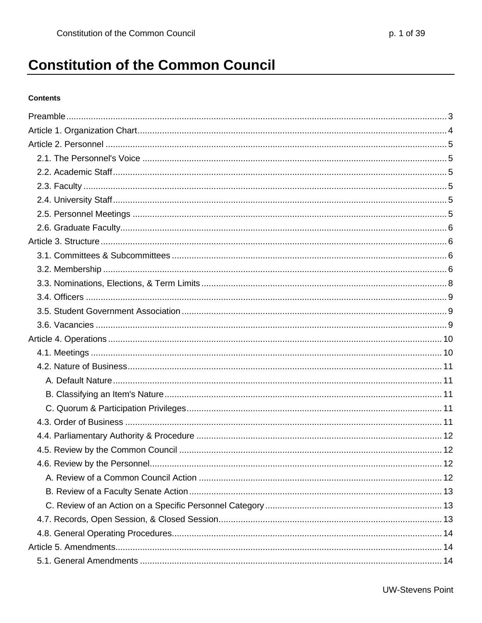# **Constitution of the Common Council**

#### **Contents**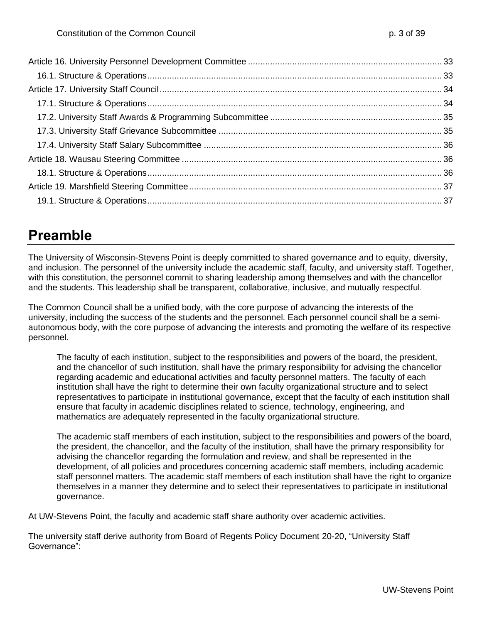# <span id="page-2-0"></span>**Preamble**

The University of Wisconsin-Stevens Point is deeply committed to shared governance and to equity, diversity, and inclusion. The personnel of the university include the academic staff, faculty, and university staff. Together, with this constitution, the personnel commit to sharing leadership among themselves and with the chancellor and the students. This leadership shall be transparent, collaborative, inclusive, and mutually respectful.

The Common Council shall be a unified body, with the core purpose of advancing the interests of the university, including the success of the students and the personnel. Each personnel council shall be a semiautonomous body, with the core purpose of advancing the interests and promoting the welfare of its respective personnel.

The faculty of each institution, subject to the responsibilities and powers of the board, the president, and the chancellor of such institution, shall have the primary responsibility for advising the chancellor regarding academic and educational activities and faculty personnel matters. The faculty of each institution shall have the right to determine their own faculty organizational structure and to select representatives to participate in institutional governance, except that the faculty of each institution shall ensure that faculty in academic disciplines related to science, technology, engineering, and mathematics are adequately represented in the faculty organizational structure.

The academic staff members of each institution, subject to the responsibilities and powers of the board, the president, the chancellor, and the faculty of the institution, shall have the primary responsibility for advising the chancellor regarding the formulation and review, and shall be represented in the development, of all policies and procedures concerning academic staff members, including academic staff personnel matters. The academic staff members of each institution shall have the right to organize themselves in a manner they determine and to select their representatives to participate in institutional governance.

At UW-Stevens Point, the faculty and academic staff share authority over academic activities.

The university staff derive authority from Board of Regents Policy Document 20-20, "University Staff Governance":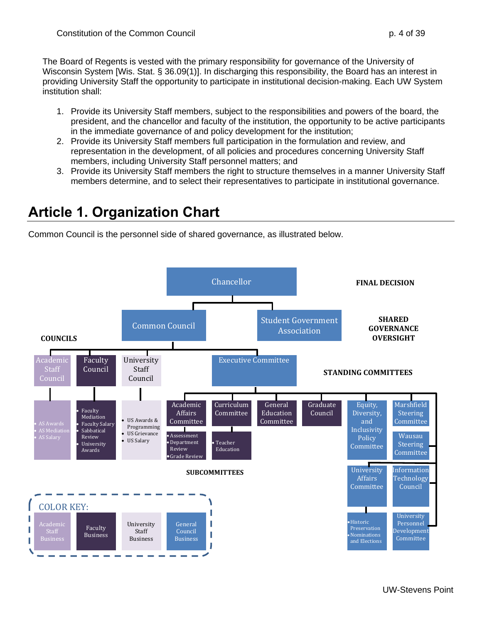The Board of Regents is vested with the primary responsibility for governance of the University of Wisconsin System [Wis. Stat. § 36.09(1)]. In discharging this responsibility, the Board has an interest in providing University Staff the opportunity to participate in institutional decision-making. Each UW System institution shall:

- 1. Provide its University Staff members, subject to the responsibilities and powers of the board, the president, and the chancellor and faculty of the institution, the opportunity to be active participants in the immediate governance of and policy development for the institution;
- 2. Provide its University Staff members full participation in the formulation and review, and representation in the development, of all policies and procedures concerning University Staff members, including University Staff personnel matters; and
- 3. Provide its University Staff members the right to structure themselves in a manner University Staff members determine, and to select their representatives to participate in institutional governance.

# <span id="page-3-0"></span>**Article 1. Organization Chart**

Common Council is the personnel side of shared governance, as illustrated below.

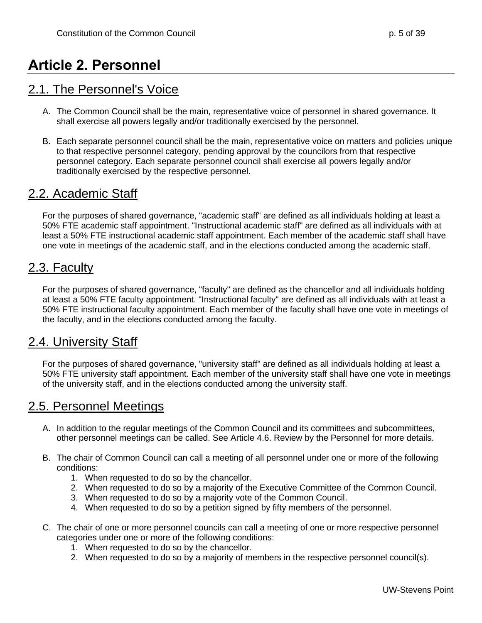# <span id="page-4-0"></span>**Article 2. Personnel**

#### <span id="page-4-1"></span>2.1. The Personnel's Voice

- A. The Common Council shall be the main, representative voice of personnel in shared governance. It shall exercise all powers legally and/or traditionally exercised by the personnel.
- B. Each separate personnel council shall be the main, representative voice on matters and policies unique to that respective personnel category, pending approval by the councilors from that respective personnel category. Each separate personnel council shall exercise all powers legally and/or traditionally exercised by the respective personnel.

### <span id="page-4-2"></span>2.2. Academic Staff

For the purposes of shared governance, "academic staff" are defined as all individuals holding at least a 50% FTE academic staff appointment. "Instructional academic staff" are defined as all individuals with at least a 50% FTE instructional academic staff appointment. Each member of the academic staff shall have one vote in meetings of the academic staff, and in the elections conducted among the academic staff.

#### <span id="page-4-3"></span>2.3. Faculty

For the purposes of shared governance, "faculty" are defined as the chancellor and all individuals holding at least a 50% FTE faculty appointment. "Instructional faculty" are defined as all individuals with at least a 50% FTE instructional faculty appointment. Each member of the faculty shall have one vote in meetings of the faculty, and in the elections conducted among the faculty.

### <span id="page-4-4"></span>2.4. University Staff

For the purposes of shared governance, "university staff" are defined as all individuals holding at least a 50% FTE university staff appointment. Each member of the university staff shall have one vote in meetings of the university staff, and in the elections conducted among the university staff.

### <span id="page-4-5"></span>2.5. Personnel Meetings

- A. In addition to the regular meetings of the Common Council and its committees and subcommittees, other personnel meetings can be called. See Article 4.6. Review by the Personnel for more details.
- B. The chair of Common Council can call a meeting of all personnel under one or more of the following conditions:
	- 1. When requested to do so by the chancellor.
	- 2. When requested to do so by a majority of the Executive Committee of the Common Council.
	- 3. When requested to do so by a majority vote of the Common Council.
	- 4. When requested to do so by a petition signed by fifty members of the personnel.
- C. The chair of one or more personnel councils can call a meeting of one or more respective personnel categories under one or more of the following conditions:
	- 1. When requested to do so by the chancellor.
	- 2. When requested to do so by a majority of members in the respective personnel council(s).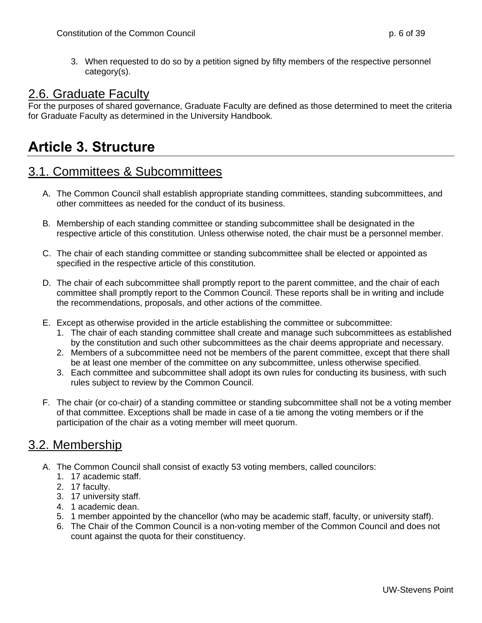3. When requested to do so by a petition signed by fifty members of the respective personnel category(s).

#### <span id="page-5-0"></span>2.6. Graduate Faculty

For the purposes of shared governance, Graduate Faculty are defined as those determined to meet the criteria for Graduate Faculty as determined in the University Handbook.

### <span id="page-5-1"></span>**Article 3. Structure**

#### <span id="page-5-2"></span>3.1. Committees & Subcommittees

- A. The Common Council shall establish appropriate standing committees, standing subcommittees, and other committees as needed for the conduct of its business.
- B. Membership of each standing committee or standing subcommittee shall be designated in the respective article of this constitution. Unless otherwise noted, the chair must be a personnel member.
- C. The chair of each standing committee or standing subcommittee shall be elected or appointed as specified in the respective article of this constitution.
- D. The chair of each subcommittee shall promptly report to the parent committee, and the chair of each committee shall promptly report to the Common Council. These reports shall be in writing and include the recommendations, proposals, and other actions of the committee.
- E. Except as otherwise provided in the article establishing the committee or subcommittee:
	- 1. The chair of each standing committee shall create and manage such subcommittees as established by the constitution and such other subcommittees as the chair deems appropriate and necessary.
	- 2. Members of a subcommittee need not be members of the parent committee, except that there shall be at least one member of the committee on any subcommittee, unless otherwise specified.
	- 3. Each committee and subcommittee shall adopt its own rules for conducting its business, with such rules subject to review by the Common Council.
- F. The chair (or co-chair) of a standing committee or standing subcommittee shall not be a voting member of that committee. Exceptions shall be made in case of a tie among the voting members or if the participation of the chair as a voting member will meet quorum.

#### <span id="page-5-3"></span>3.2. Membership

- A. The Common Council shall consist of exactly 53 voting members, called councilors:
	- 1. 17 academic staff.
	- 2. 17 faculty.
	- 3. 17 university staff.
	- 4. 1 academic dean.
	- 5. 1 member appointed by the chancellor (who may be academic staff, faculty, or university staff).
	- 6. The Chair of the Common Council is a non-voting member of the Common Council and does not count against the quota for their constituency.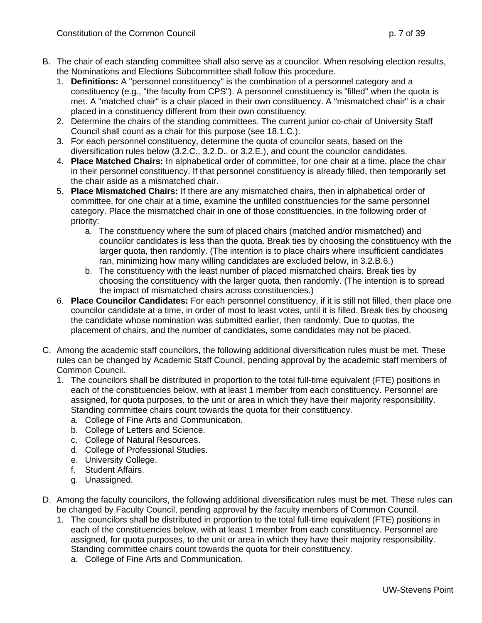- the Nominations and Elections Subcommittee shall follow this procedure.
	- 1. **Definitions:** A "personnel constituency" is the combination of a personnel category and a constituency (e.g., "the faculty from CPS"). A personnel constituency is "filled" when the quota is met. A "matched chair" is a chair placed in their own constituency. A "mismatched chair" is a chair placed in a constituency different from their own constituency.
	- 2. Determine the chairs of the standing committees. The current junior co-chair of University Staff Council shall count as a chair for this purpose (see 18.1.C.).
	- 3. For each personnel constituency, determine the quota of councilor seats, based on the diversification rules below (3.2.C., 3.2.D., or 3.2.E.), and count the councilor candidates.
	- 4. **Place Matched Chairs:** In alphabetical order of committee, for one chair at a time, place the chair in their personnel constituency. If that personnel constituency is already filled, then temporarily set the chair aside as a mismatched chair.
	- 5. **Place Mismatched Chairs:** If there are any mismatched chairs, then in alphabetical order of committee, for one chair at a time, examine the unfilled constituencies for the same personnel category. Place the mismatched chair in one of those constituencies, in the following order of priority:
		- a. The constituency where the sum of placed chairs (matched and/or mismatched) and councilor candidates is less than the quota. Break ties by choosing the constituency with the larger quota, then randomly. (The intention is to place chairs where insufficient candidates ran, minimizing how many willing candidates are excluded below, in 3.2.B.6.)
		- b. The constituency with the least number of placed mismatched chairs. Break ties by choosing the constituency with the larger quota, then randomly. (The intention is to spread the impact of mismatched chairs across constituencies.)
	- 6. **Place Councilor Candidates:** For each personnel constituency, if it is still not filled, then place one councilor candidate at a time, in order of most to least votes, until it is filled. Break ties by choosing the candidate whose nomination was submitted earlier, then randomly. Due to quotas, the placement of chairs, and the number of candidates, some candidates may not be placed.
- C. Among the academic staff councilors, the following additional diversification rules must be met. These rules can be changed by Academic Staff Council, pending approval by the academic staff members of Common Council.
	- 1. The councilors shall be distributed in proportion to the total full-time equivalent (FTE) positions in each of the constituencies below, with at least 1 member from each constituency. Personnel are assigned, for quota purposes, to the unit or area in which they have their majority responsibility. Standing committee chairs count towards the quota for their constituency.
		- a. College of Fine Arts and Communication.
		- b. College of Letters and Science.
		- c. College of Natural Resources.
		- d. College of Professional Studies.
		- e. University College.
		- f. Student Affairs.
		- g. Unassigned.
- D. Among the faculty councilors, the following additional diversification rules must be met. These rules can be changed by Faculty Council, pending approval by the faculty members of Common Council.
	- 1. The councilors shall be distributed in proportion to the total full-time equivalent (FTE) positions in each of the constituencies below, with at least 1 member from each constituency. Personnel are assigned, for quota purposes, to the unit or area in which they have their majority responsibility. Standing committee chairs count towards the quota for their constituency.
		- a. College of Fine Arts and Communication.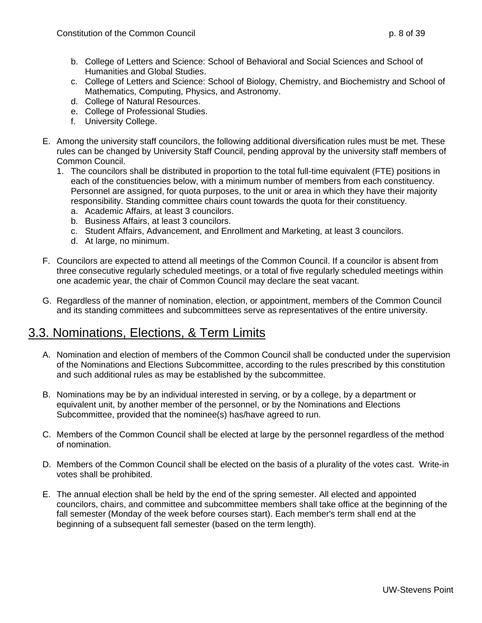- b. College of Letters and Science: School of Behavioral and Social Sciences and School of Humanities and Global Studies.
- c. College of Letters and Science: School of Biology, Chemistry, and Biochemistry and School of Mathematics, Computing, Physics, and Astronomy.
- d. College of Natural Resources.
- e. College of Professional Studies.
- f. University College.
- E. Among the university staff councilors, the following additional diversification rules must be met. These rules can be changed by University Staff Council, pending approval by the university staff members of Common Council.
	- 1. The councilors shall be distributed in proportion to the total full-time equivalent (FTE) positions in each of the constituencies below, with a minimum number of members from each constituency. Personnel are assigned, for quota purposes, to the unit or area in which they have their majority responsibility. Standing committee chairs count towards the quota for their constituency.
		- a. Academic Affairs, at least 3 councilors.
		- b. Business Affairs, at least 3 councilors.
		- c. Student Affairs, Advancement, and Enrollment and Marketing, at least 3 councilors.
		- d. At large, no minimum.
- F. Councilors are expected to attend all meetings of the Common Council. If a councilor is absent from three consecutive regularly scheduled meetings, or a total of five regularly scheduled meetings within one academic year, the chair of Common Council may declare the seat vacant.
- G. Regardless of the manner of nomination, election, or appointment, members of the Common Council and its standing committees and subcommittees serve as representatives of the entire university.

#### <span id="page-7-0"></span>3.3. Nominations, Elections, & Term Limits

- A. Nomination and election of members of the Common Council shall be conducted under the supervision of the Nominations and Elections Subcommittee, according to the rules prescribed by this constitution and such additional rules as may be established by the subcommittee.
- B. Nominations may be by an individual interested in serving, or by a college, by a department or equivalent unit, by another member of the personnel, or by the Nominations and Elections Subcommittee, provided that the nominee(s) has/have agreed to run.
- C. Members of the Common Council shall be elected at large by the personnel regardless of the method of nomination.
- D. Members of the Common Council shall be elected on the basis of a plurality of the votes cast. Write-in votes shall be prohibited.
- E. The annual election shall be held by the end of the spring semester. All elected and appointed councilors, chairs, and committee and subcommittee members shall take office at the beginning of the fall semester (Monday of the week before courses start). Each member's term shall end at the beginning of a subsequent fall semester (based on the term length).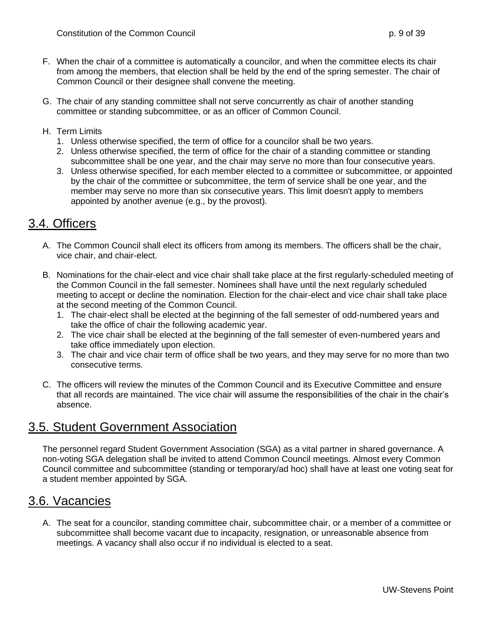- F. When the chair of a committee is automatically a councilor, and when the committee elects its chair from among the members, that election shall be held by the end of the spring semester. The chair of Common Council or their designee shall convene the meeting.
- G. The chair of any standing committee shall not serve concurrently as chair of another standing committee or standing subcommittee, or as an officer of Common Council.
- H. Term Limits
	- 1. Unless otherwise specified, the term of office for a councilor shall be two years.
	- 2. Unless otherwise specified, the term of office for the chair of a standing committee or standing subcommittee shall be one year, and the chair may serve no more than four consecutive years.
	- 3. Unless otherwise specified, for each member elected to a committee or subcommittee, or appointed by the chair of the committee or subcommittee, the term of service shall be one year, and the member may serve no more than six consecutive years. This limit doesn't apply to members appointed by another avenue (e.g., by the provost).

#### <span id="page-8-0"></span>3.4. Officers

- A. The Common Council shall elect its officers from among its members. The officers shall be the chair, vice chair, and chair-elect.
- B. Nominations for the chair-elect and vice chair shall take place at the first regularly-scheduled meeting of the Common Council in the fall semester. Nominees shall have until the next regularly scheduled meeting to accept or decline the nomination. Election for the chair-elect and vice chair shall take place at the second meeting of the Common Council.
	- 1. The chair-elect shall be elected at the beginning of the fall semester of odd-numbered years and take the office of chair the following academic year.
	- 2. The vice chair shall be elected at the beginning of the fall semester of even-numbered years and take office immediately upon election.
	- 3. The chair and vice chair term of office shall be two years, and they may serve for no more than two consecutive terms.
- C. The officers will review the minutes of the Common Council and its Executive Committee and ensure that all records are maintained. The vice chair will assume the responsibilities of the chair in the chair's absence.

#### <span id="page-8-1"></span>3.5. Student Government Association

The personnel regard Student Government Association (SGA) as a vital partner in shared governance. A non-voting SGA delegation shall be invited to attend Common Council meetings. Almost every Common Council committee and subcommittee (standing or temporary/ad hoc) shall have at least one voting seat for a student member appointed by SGA.

#### <span id="page-8-2"></span>3.6. Vacancies

A. The seat for a councilor, standing committee chair, subcommittee chair, or a member of a committee or subcommittee shall become vacant due to incapacity, resignation, or unreasonable absence from meetings. A vacancy shall also occur if no individual is elected to a seat.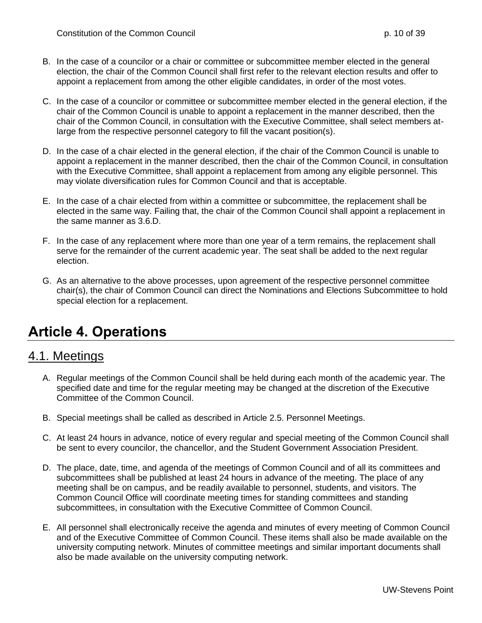- B. In the case of a councilor or a chair or committee or subcommittee member elected in the general election, the chair of the Common Council shall first refer to the relevant election results and offer to appoint a replacement from among the other eligible candidates, in order of the most votes.
- C. In the case of a councilor or committee or subcommittee member elected in the general election, if the chair of the Common Council is unable to appoint a replacement in the manner described, then the chair of the Common Council, in consultation with the Executive Committee, shall select members atlarge from the respective personnel category to fill the vacant position(s).
- D. In the case of a chair elected in the general election, if the chair of the Common Council is unable to appoint a replacement in the manner described, then the chair of the Common Council, in consultation with the Executive Committee, shall appoint a replacement from among any eligible personnel. This may violate diversification rules for Common Council and that is acceptable.
- E. In the case of a chair elected from within a committee or subcommittee, the replacement shall be elected in the same way. Failing that, the chair of the Common Council shall appoint a replacement in the same manner as 3.6.D.
- F. In the case of any replacement where more than one year of a term remains, the replacement shall serve for the remainder of the current academic year. The seat shall be added to the next regular election.
- G. As an alternative to the above processes, upon agreement of the respective personnel committee chair(s), the chair of Common Council can direct the Nominations and Elections Subcommittee to hold special election for a replacement.

## <span id="page-9-0"></span>**Article 4. Operations**

### <span id="page-9-1"></span>4.1. Meetings

- A. Regular meetings of the Common Council shall be held during each month of the academic year. The specified date and time for the regular meeting may be changed at the discretion of the Executive Committee of the Common Council.
- B. Special meetings shall be called as described in Article 2.5. Personnel Meetings.
- C. At least 24 hours in advance, notice of every regular and special meeting of the Common Council shall be sent to every councilor, the chancellor, and the Student Government Association President.
- D. The place, date, time, and agenda of the meetings of Common Council and of all its committees and subcommittees shall be published at least 24 hours in advance of the meeting. The place of any meeting shall be on campus, and be readily available to personnel, students, and visitors. The Common Council Office will coordinate meeting times for standing committees and standing subcommittees, in consultation with the Executive Committee of Common Council.
- E. All personnel shall electronically receive the agenda and minutes of every meeting of Common Council and of the Executive Committee of Common Council. These items shall also be made available on the university computing network. Minutes of committee meetings and similar important documents shall also be made available on the university computing network.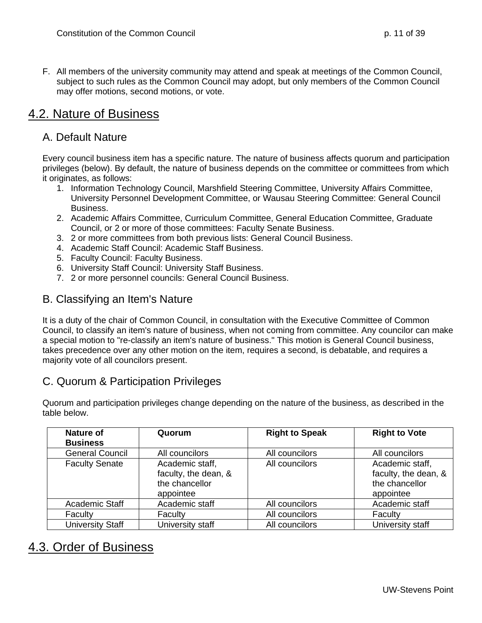F. All members of the university community may attend and speak at meetings of the Common Council, subject to such rules as the Common Council may adopt, but only members of the Common Council may offer motions, second motions, or vote.

#### <span id="page-10-0"></span>4.2. Nature of Business

#### <span id="page-10-1"></span>A. Default Nature

Every council business item has a specific nature. The nature of business affects quorum and participation privileges (below). By default, the nature of business depends on the committee or committees from which it originates, as follows:

- 1. Information Technology Council, Marshfield Steering Committee, University Affairs Committee, University Personnel Development Committee, or Wausau Steering Committee: General Council Business.
- 2. Academic Affairs Committee, Curriculum Committee, General Education Committee, Graduate Council, or 2 or more of those committees: Faculty Senate Business.
- 3. 2 or more committees from both previous lists: General Council Business.
- 4. Academic Staff Council: Academic Staff Business.
- 5. Faculty Council: Faculty Business.
- 6. University Staff Council: University Staff Business.
- 7. 2 or more personnel councils: General Council Business.

#### <span id="page-10-2"></span>B. Classifying an Item's Nature

It is a duty of the chair of Common Council, in consultation with the Executive Committee of Common Council, to classify an item's nature of business, when not coming from committee. Any councilor can make a special motion to "re-classify an item's nature of business." This motion is General Council business, takes precedence over any other motion on the item, requires a second, is debatable, and requires a majority vote of all councilors present.

#### <span id="page-10-3"></span>C. Quorum & Participation Privileges

Quorum and participation privileges change depending on the nature of the business, as described in the table below.

| <b>Nature of</b><br><b>Business</b> | Quorum                                                                 | <b>Right to Speak</b> | <b>Right to Vote</b>                                                   |
|-------------------------------------|------------------------------------------------------------------------|-----------------------|------------------------------------------------------------------------|
| <b>General Council</b>              | All councilors                                                         | All councilors        | All councilors                                                         |
| <b>Faculty Senate</b>               | Academic staff,<br>faculty, the dean, &<br>the chancellor<br>appointee | All councilors        | Academic staff,<br>faculty, the dean, &<br>the chancellor<br>appointee |
| Academic Staff                      | Academic staff                                                         | All councilors        | Academic staff                                                         |
| Faculty                             | Faculty                                                                | All councilors        | Faculty                                                                |
| <b>University Staff</b>             | University staff                                                       | All councilors        | University staff                                                       |

#### <span id="page-10-4"></span>4.3. Order of Business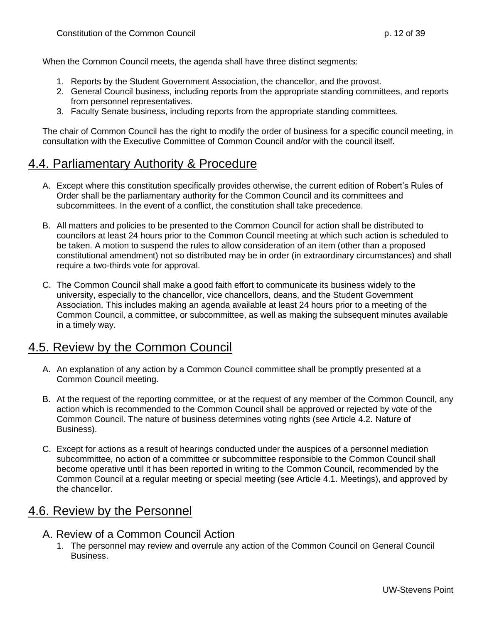When the Common Council meets, the agenda shall have three distinct segments:

- 1. Reports by the Student Government Association, the chancellor, and the provost.
- 2. General Council business, including reports from the appropriate standing committees, and reports from personnel representatives.
- 3. Faculty Senate business, including reports from the appropriate standing committees.

The chair of Common Council has the right to modify the order of business for a specific council meeting, in consultation with the Executive Committee of Common Council and/or with the council itself.

#### <span id="page-11-0"></span>4.4. Parliamentary Authority & Procedure

- A. Except where this constitution specifically provides otherwise, the current edition of Robert's Rules of Order shall be the parliamentary authority for the Common Council and its committees and subcommittees. In the event of a conflict, the constitution shall take precedence.
- B. All matters and policies to be presented to the Common Council for action shall be distributed to councilors at least 24 hours prior to the Common Council meeting at which such action is scheduled to be taken. A motion to suspend the rules to allow consideration of an item (other than a proposed constitutional amendment) not so distributed may be in order (in extraordinary circumstances) and shall require a two-thirds vote for approval.
- C. The Common Council shall make a good faith effort to communicate its business widely to the university, especially to the chancellor, vice chancellors, deans, and the Student Government Association. This includes making an agenda available at least 24 hours prior to a meeting of the Common Council, a committee, or subcommittee, as well as making the subsequent minutes available in a timely way.

### <span id="page-11-1"></span>4.5. Review by the Common Council

- A. An explanation of any action by a Common Council committee shall be promptly presented at a Common Council meeting.
- B. At the request of the reporting committee, or at the request of any member of the Common Council, any action which is recommended to the Common Council shall be approved or rejected by vote of the Common Council. The nature of business determines voting rights (see Article 4.2. Nature of Business).
- C. Except for actions as a result of hearings conducted under the auspices of a personnel mediation subcommittee, no action of a committee or subcommittee responsible to the Common Council shall become operative until it has been reported in writing to the Common Council, recommended by the Common Council at a regular meeting or special meeting (see Article 4.1. Meetings), and approved by the chancellor.

#### <span id="page-11-2"></span>4.6. Review by the Personnel

#### <span id="page-11-3"></span>A. Review of a Common Council Action

1. The personnel may review and overrule any action of the Common Council on General Council Business.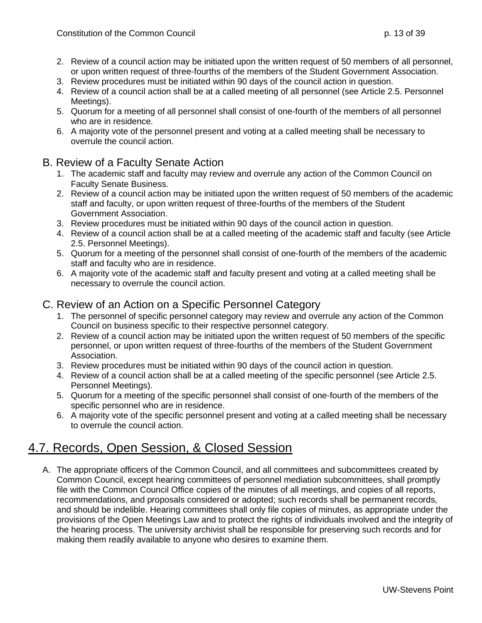- 2. Review of a council action may be initiated upon the written request of 50 members of all personnel, or upon written request of three-fourths of the members of the Student Government Association.
- 3. Review procedures must be initiated within 90 days of the council action in question.
- 4. Review of a council action shall be at a called meeting of all personnel (see Article 2.5. Personnel Meetings).
- 5. Quorum for a meeting of all personnel shall consist of one-fourth of the members of all personnel who are in residence.
- 6. A majority vote of the personnel present and voting at a called meeting shall be necessary to overrule the council action.

#### <span id="page-12-0"></span>B. Review of a Faculty Senate Action

- 1. The academic staff and faculty may review and overrule any action of the Common Council on Faculty Senate Business.
- 2. Review of a council action may be initiated upon the written request of 50 members of the academic staff and faculty, or upon written request of three-fourths of the members of the Student Government Association.
- 3. Review procedures must be initiated within 90 days of the council action in question.
- 4. Review of a council action shall be at a called meeting of the academic staff and faculty (see Article 2.5. Personnel Meetings).
- 5. Quorum for a meeting of the personnel shall consist of one-fourth of the members of the academic staff and faculty who are in residence.
- 6. A majority vote of the academic staff and faculty present and voting at a called meeting shall be necessary to overrule the council action.

#### <span id="page-12-1"></span>C. Review of an Action on a Specific Personnel Category

- 1. The personnel of specific personnel category may review and overrule any action of the Common Council on business specific to their respective personnel category.
- 2. Review of a council action may be initiated upon the written request of 50 members of the specific personnel, or upon written request of three-fourths of the members of the Student Government Association.
- 3. Review procedures must be initiated within 90 days of the council action in question.
- 4. Review of a council action shall be at a called meeting of the specific personnel (see Article 2.5. Personnel Meetings).
- 5. Quorum for a meeting of the specific personnel shall consist of one-fourth of the members of the specific personnel who are in residence.
- 6. A majority vote of the specific personnel present and voting at a called meeting shall be necessary to overrule the council action.

#### <span id="page-12-2"></span>4.7. Records, Open Session, & Closed Session

A. The appropriate officers of the Common Council, and all committees and subcommittees created by Common Council, except hearing committees of personnel mediation subcommittees, shall promptly file with the Common Council Office copies of the minutes of all meetings, and copies of all reports, recommendations, and proposals considered or adopted; such records shall be permanent records, and should be indelible. Hearing committees shall only file copies of minutes, as appropriate under the provisions of the Open Meetings Law and to protect the rights of individuals involved and the integrity of the hearing process. The university archivist shall be responsible for preserving such records and for making them readily available to anyone who desires to examine them.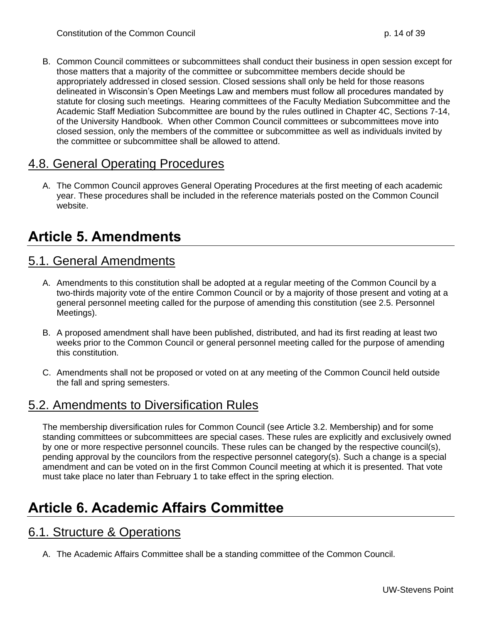B. Common Council committees or subcommittees shall conduct their business in open session except for those matters that a majority of the committee or subcommittee members decide should be appropriately addressed in closed session. Closed sessions shall only be held for those reasons delineated in Wisconsin's Open Meetings Law and members must follow all procedures mandated by statute for closing such meetings. Hearing committees of the Faculty Mediation Subcommittee and the Academic Staff Mediation Subcommittee are bound by the rules outlined in Chapter 4C, Sections 7-14, of the University Handbook. When other Common Council committees or subcommittees move into closed session, only the members of the committee or subcommittee as well as individuals invited by the committee or subcommittee shall be allowed to attend.

### <span id="page-13-0"></span>4.8. General Operating Procedures

A. The Common Council approves General Operating Procedures at the first meeting of each academic year. These procedures shall be included in the reference materials posted on the Common Council website.

### <span id="page-13-1"></span>**Article 5. Amendments**

#### <span id="page-13-2"></span>5.1. General Amendments

- A. Amendments to this constitution shall be adopted at a regular meeting of the Common Council by a two-thirds majority vote of the entire Common Council or by a majority of those present and voting at a general personnel meeting called for the purpose of amending this constitution (see 2.5. Personnel Meetings).
- B. A proposed amendment shall have been published, distributed, and had its first reading at least two weeks prior to the Common Council or general personnel meeting called for the purpose of amending this constitution.
- C. Amendments shall not be proposed or voted on at any meeting of the Common Council held outside the fall and spring semesters.

#### <span id="page-13-3"></span>5.2. Amendments to Diversification Rules

The membership diversification rules for Common Council (see Article 3.2. Membership) and for some standing committees or subcommittees are special cases. These rules are explicitly and exclusively owned by one or more respective personnel councils. These rules can be changed by the respective council(s), pending approval by the councilors from the respective personnel category(s). Such a change is a special amendment and can be voted on in the first Common Council meeting at which it is presented. That vote must take place no later than February 1 to take effect in the spring election.

# <span id="page-13-4"></span>**Article 6. Academic Affairs Committee**

#### <span id="page-13-5"></span>6.1. Structure & Operations

A. The Academic Affairs Committee shall be a standing committee of the Common Council.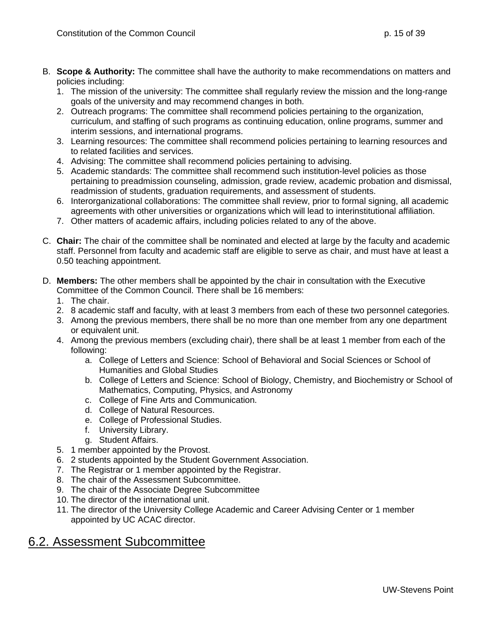- B. **Scope & Authority:** The committee shall have the authority to make recommendations on matters and policies including:
	- 1. The mission of the university: The committee shall regularly review the mission and the long-range goals of the university and may recommend changes in both.
	- 2. Outreach programs: The committee shall recommend policies pertaining to the organization, curriculum, and staffing of such programs as continuing education, online programs, summer and interim sessions, and international programs.
	- 3. Learning resources: The committee shall recommend policies pertaining to learning resources and to related facilities and services.
	- 4. Advising: The committee shall recommend policies pertaining to advising.
	- 5. Academic standards: The committee shall recommend such institution-level policies as those pertaining to preadmission counseling, admission, grade review, academic probation and dismissal, readmission of students, graduation requirements, and assessment of students.
	- 6. Interorganizational collaborations: The committee shall review, prior to formal signing, all academic agreements with other universities or organizations which will lead to interinstitutional affiliation.
	- 7. Other matters of academic affairs, including policies related to any of the above.
- C. **Chair:** The chair of the committee shall be nominated and elected at large by the faculty and academic staff. Personnel from faculty and academic staff are eligible to serve as chair, and must have at least a 0.50 teaching appointment.
- D. **Members:** The other members shall be appointed by the chair in consultation with the Executive Committee of the Common Council. There shall be 16 members:
	- 1. The chair.
	- 2. 8 academic staff and faculty, with at least 3 members from each of these two personnel categories.
	- 3. Among the previous members, there shall be no more than one member from any one department or equivalent unit.
	- 4. Among the previous members (excluding chair), there shall be at least 1 member from each of the following:
		- a. College of Letters and Science: School of Behavioral and Social Sciences or School of Humanities and Global Studies
		- b. College of Letters and Science: School of Biology, Chemistry, and Biochemistry or School of Mathematics, Computing, Physics, and Astronomy
		- c. College of Fine Arts and Communication.
		- d. College of Natural Resources.
		- e. College of Professional Studies.
		- f. University Library.
		- g. Student Affairs.
	- 5. 1 member appointed by the Provost.
	- 6. 2 students appointed by the Student Government Association.
	- 7. The Registrar or 1 member appointed by the Registrar.
	- 8. The chair of the Assessment Subcommittee.
	- 9. The chair of the Associate Degree Subcommittee
	- 10. The director of the international unit.
	- 11. The director of the University College Academic and Career Advising Center or 1 member appointed by UC ACAC director.

### <span id="page-14-0"></span>6.2. Assessment Subcommittee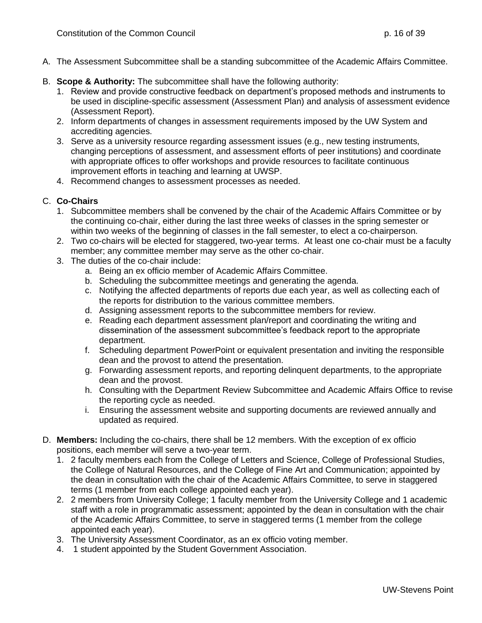- A. The Assessment Subcommittee shall be a standing subcommittee of the Academic Affairs Committee.
- B. **Scope & Authority:** The subcommittee shall have the following authority:
	- 1. Review and provide constructive feedback on department's proposed methods and instruments to be used in discipline-specific assessment (Assessment Plan) and analysis of assessment evidence (Assessment Report).
	- 2. Inform departments of changes in assessment requirements imposed by the UW System and accrediting agencies.
	- 3. Serve as a university resource regarding assessment issues (e.g., new testing instruments, changing perceptions of assessment, and assessment efforts of peer institutions) and coordinate with appropriate offices to offer workshops and provide resources to facilitate continuous improvement efforts in teaching and learning at UWSP.
	- 4. Recommend changes to assessment processes as needed.

#### C. **Co-Chairs**

- 1. Subcommittee members shall be convened by the chair of the Academic Affairs Committee or by the continuing co-chair, either during the last three weeks of classes in the spring semester or within two weeks of the beginning of classes in the fall semester, to elect a co-chairperson.
- 2. Two co-chairs will be elected for staggered, two-year terms. At least one co-chair must be a faculty member; any committee member may serve as the other co-chair.
- 3. The duties of the co-chair include:
	- a. Being an ex officio member of Academic Affairs Committee.
	- b. Scheduling the subcommittee meetings and generating the agenda.
	- c. Notifying the affected departments of reports due each year, as well as collecting each of the reports for distribution to the various committee members.
	- d. Assigning assessment reports to the subcommittee members for review.
	- e. Reading each department assessment plan/report and coordinating the writing and dissemination of the assessment subcommittee's feedback report to the appropriate department.
	- f. Scheduling department PowerPoint or equivalent presentation and inviting the responsible dean and the provost to attend the presentation.
	- g. Forwarding assessment reports, and reporting delinquent departments, to the appropriate dean and the provost.
	- h. Consulting with the Department Review Subcommittee and Academic Affairs Office to revise the reporting cycle as needed.
	- i. Ensuring the assessment website and supporting documents are reviewed annually and updated as required.
- D. **Members:** Including the co-chairs, there shall be 12 members. With the exception of ex officio positions, each member will serve a two-year term.
	- 1. 2 faculty members each from the College of Letters and Science, College of Professional Studies, the College of Natural Resources, and the College of Fine Art and Communication; appointed by the dean in consultation with the chair of the Academic Affairs Committee, to serve in staggered terms (1 member from each college appointed each year).
	- 2. 2 members from University College; 1 faculty member from the University College and 1 academic staff with a role in programmatic assessment; appointed by the dean in consultation with the chair of the Academic Affairs Committee, to serve in staggered terms (1 member from the college appointed each year).
	- 3. The University Assessment Coordinator, as an ex officio voting member.
	- 4. 1 student appointed by the Student Government Association.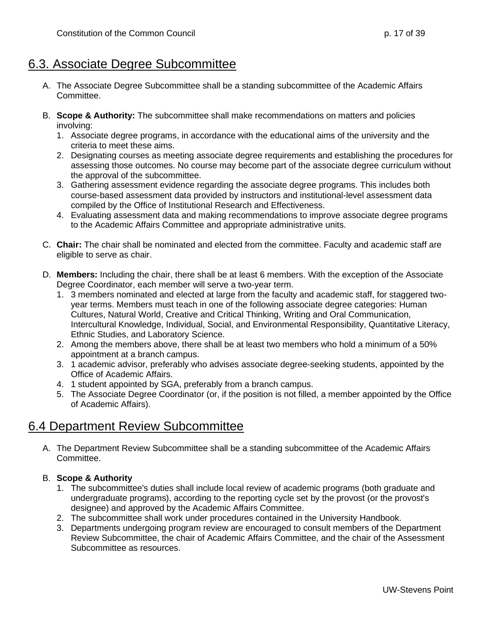#### <span id="page-16-0"></span>6.3. Associate Degree Subcommittee

- A. The Associate Degree Subcommittee shall be a standing subcommittee of the Academic Affairs Committee.
- B. **Scope & Authority:** The subcommittee shall make recommendations on matters and policies involving:
	- 1. Associate degree programs, in accordance with the educational aims of the university and the criteria to meet these aims.
	- 2. Designating courses as meeting associate degree requirements and establishing the procedures for assessing those outcomes. No course may become part of the associate degree curriculum without the approval of the subcommittee.
	- 3. Gathering assessment evidence regarding the associate degree programs. This includes both course-based assessment data provided by instructors and institutional-level assessment data compiled by the Office of Institutional Research and Effectiveness.
	- 4. Evaluating assessment data and making recommendations to improve associate degree programs to the Academic Affairs Committee and appropriate administrative units.
- C. **Chair:** The chair shall be nominated and elected from the committee. Faculty and academic staff are eligible to serve as chair.
- D. **Members:** Including the chair, there shall be at least 6 members. With the exception of the Associate Degree Coordinator, each member will serve a two-year term.
	- 1. 3 members nominated and elected at large from the faculty and academic staff, for staggered twoyear terms. Members must teach in one of the following associate degree categories: Human Cultures, Natural World, Creative and Critical Thinking, Writing and Oral Communication, Intercultural Knowledge, Individual, Social, and Environmental Responsibility, Quantitative Literacy, Ethnic Studies, and Laboratory Science.
	- 2. Among the members above, there shall be at least two members who hold a minimum of a 50% appointment at a branch campus.
	- 3. 1 academic advisor, preferably who advises associate degree-seeking students, appointed by the Office of Academic Affairs.
	- 4. 1 student appointed by SGA, preferably from a branch campus.
	- 5. The Associate Degree Coordinator (or, if the position is not filled, a member appointed by the Office of Academic Affairs).

### <span id="page-16-1"></span>6.4 Department Review Subcommittee

A. The Department Review Subcommittee shall be a standing subcommittee of the Academic Affairs Committee.

#### B. **Scope & Authority**

- 1. The subcommittee's duties shall include local review of academic programs (both graduate and undergraduate programs), according to the reporting cycle set by the provost (or the provost's designee) and approved by the Academic Affairs Committee.
- 2. The subcommittee shall work under procedures contained in the University Handbook.
- 3. Departments undergoing program review are encouraged to consult members of the Department Review Subcommittee, the chair of Academic Affairs Committee, and the chair of the Assessment Subcommittee as resources.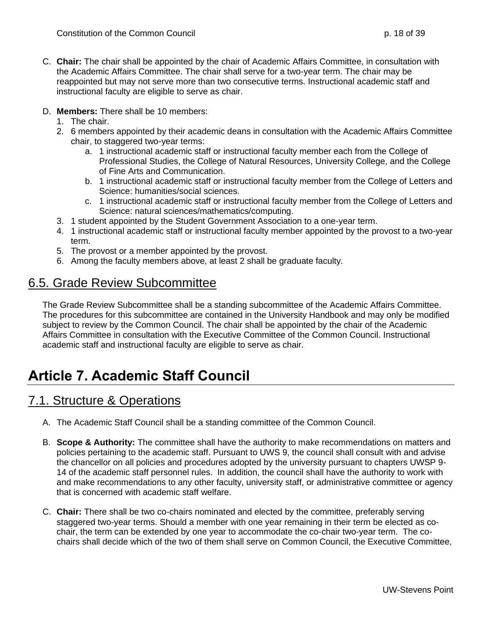- C. **Chair:** The chair shall be appointed by the chair of Academic Affairs Committee, in consultation with the Academic Affairs Committee. The chair shall serve for a two-year term. The chair may be reappointed but may not serve more than two consecutive terms. Instructional academic staff and instructional faculty are eligible to serve as chair.
- D. **Members:** There shall be 10 members:
	- 1. The chair.
	- 2. 6 members appointed by their academic deans in consultation with the Academic Affairs Committee chair, to staggered two-year terms:
		- a. 1 instructional academic staff or instructional faculty member each from the College of Professional Studies, the College of Natural Resources, University College, and the College of Fine Arts and Communication.
		- b. 1 instructional academic staff or instructional faculty member from the College of Letters and Science: humanities/social sciences.
		- c. 1 instructional academic staff or instructional faculty member from the College of Letters and Science: natural sciences/mathematics/computing.
	- 3. 1 student appointed by the Student Government Association to a one-year term.
	- 4. 1 instructional academic staff or instructional faculty member appointed by the provost to a two-year term.
	- 5. The provost or a member appointed by the provost.
	- 6. Among the faculty members above, at least 2 shall be graduate faculty.

### <span id="page-17-0"></span>6.5. Grade Review Subcommittee

The Grade Review Subcommittee shall be a standing subcommittee of the Academic Affairs Committee. The procedures for this subcommittee are contained in the University Handbook and may only be modified subject to review by the Common Council. The chair shall be appointed by the chair of the Academic Affairs Committee in consultation with the Executive Committee of the Common Council. Instructional academic staff and instructional faculty are eligible to serve as chair.

# <span id="page-17-2"></span><span id="page-17-1"></span>**Article 7. Academic Staff Council**

- A. The Academic Staff Council shall be a standing committee of the Common Council.
- B. **Scope & Authority:** The committee shall have the authority to make recommendations on matters and policies pertaining to the academic staff. Pursuant to UWS 9, the council shall consult with and advise the chancellor on all policies and procedures adopted by the university pursuant to chapters UWSP 9- 14 of the academic staff personnel rules. In addition, the council shall have the authority to work with and make recommendations to any other faculty, university staff, or administrative committee or agency that is concerned with academic staff welfare.
- C. **Chair:** There shall be two co-chairs nominated and elected by the committee, preferably serving staggered two-year terms. Should a member with one year remaining in their term be elected as cochair, the term can be extended by one year to accommodate the co-chair two-year term. The cochairs shall decide which of the two of them shall serve on Common Council, the Executive Committee,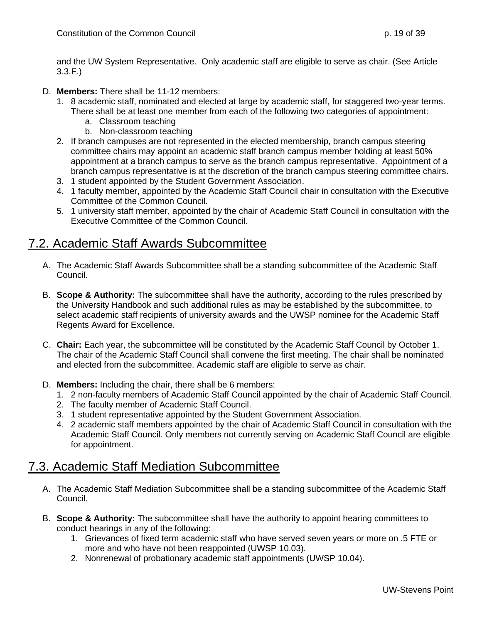and the UW System Representative. Only academic staff are eligible to serve as chair. (See Article 3.3.F.)

- D. **Members:** There shall be 11-12 members:
	- 1. 8 academic staff, nominated and elected at large by academic staff, for staggered two-year terms. There shall be at least one member from each of the following two categories of appointment:
		- a. Classroom teaching
		- b. Non-classroom teaching
	- 2. If branch campuses are not represented in the elected membership, branch campus steering committee chairs may appoint an academic staff branch campus member holding at least 50% appointment at a branch campus to serve as the branch campus representative. Appointment of a branch campus representative is at the discretion of the branch campus steering committee chairs.
	- 3. 1 student appointed by the Student Government Association.
	- 4. 1 faculty member, appointed by the Academic Staff Council chair in consultation with the Executive Committee of the Common Council.
	- 5. 1 university staff member, appointed by the chair of Academic Staff Council in consultation with the Executive Committee of the Common Council.

#### <span id="page-18-0"></span>7.2. Academic Staff Awards Subcommittee

- A. The Academic Staff Awards Subcommittee shall be a standing subcommittee of the Academic Staff Council.
- B. **Scope & Authority:** The subcommittee shall have the authority, according to the rules prescribed by the University Handbook and such additional rules as may be established by the subcommittee, to select academic staff recipients of university awards and the UWSP nominee for the Academic Staff Regents Award for Excellence.
- C. **Chair:** Each year, the subcommittee will be constituted by the Academic Staff Council by October 1. The chair of the Academic Staff Council shall convene the first meeting. The chair shall be nominated and elected from the subcommittee. Academic staff are eligible to serve as chair.
- D. **Members:** Including the chair, there shall be 6 members:
	- 1. 2 non-faculty members of Academic Staff Council appointed by the chair of Academic Staff Council.
	- 2. The faculty member of Academic Staff Council.
	- 3. 1 student representative appointed by the Student Government Association.
	- 4. 2 academic staff members appointed by the chair of Academic Staff Council in consultation with the Academic Staff Council. Only members not currently serving on Academic Staff Council are eligible for appointment.

#### <span id="page-18-1"></span>7.3. Academic Staff Mediation Subcommittee

- A. The Academic Staff Mediation Subcommittee shall be a standing subcommittee of the Academic Staff Council.
- B. **Scope & Authority:** The subcommittee shall have the authority to appoint hearing committees to conduct hearings in any of the following:
	- 1. Grievances of fixed term academic staff who have served seven years or more on .5 FTE or more and who have not been reappointed (UWSP 10.03).
	- 2. Nonrenewal of probationary academic staff appointments (UWSP 10.04).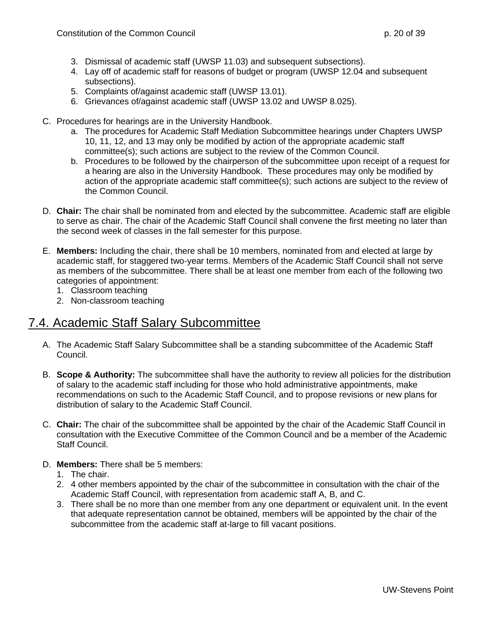- 3. Dismissal of academic staff (UWSP 11.03) and subsequent subsections).
- 4. Lay off of academic staff for reasons of budget or program (UWSP 12.04 and subsequent subsections).
- 5. Complaints of/against academic staff (UWSP 13.01).
- 6. Grievances of/against academic staff (UWSP 13.02 and UWSP 8.025).
- C. Procedures for hearings are in the University Handbook.
	- a. The procedures for Academic Staff Mediation Subcommittee hearings under Chapters UWSP 10, 11, 12, and 13 may only be modified by action of the appropriate academic staff committee(s); such actions are subject to the review of the Common Council.
	- b. Procedures to be followed by the chairperson of the subcommittee upon receipt of a request for a hearing are also in the University Handbook. These procedures may only be modified by action of the appropriate academic staff committee(s); such actions are subject to the review of the Common Council.
- D. **Chair:** The chair shall be nominated from and elected by the subcommittee. Academic staff are eligible to serve as chair. The chair of the Academic Staff Council shall convene the first meeting no later than the second week of classes in the fall semester for this purpose.
- E. **Members:** Including the chair, there shall be 10 members, nominated from and elected at large by academic staff, for staggered two-year terms. Members of the Academic Staff Council shall not serve as members of the subcommittee. There shall be at least one member from each of the following two categories of appointment:
	- 1. Classroom teaching
	- 2. Non-classroom teaching

### <span id="page-19-0"></span>7.4. Academic Staff Salary Subcommittee

- A. The Academic Staff Salary Subcommittee shall be a standing subcommittee of the Academic Staff Council.
- B. **Scope & Authority:** The subcommittee shall have the authority to review all policies for the distribution of salary to the academic staff including for those who hold administrative appointments, make recommendations on such to the Academic Staff Council, and to propose revisions or new plans for distribution of salary to the Academic Staff Council.
- C. **Chair:** The chair of the subcommittee shall be appointed by the chair of the Academic Staff Council in consultation with the Executive Committee of the Common Council and be a member of the Academic Staff Council.
- D. **Members:** There shall be 5 members:
	- 1. The chair.
	- 2. 4 other members appointed by the chair of the subcommittee in consultation with the chair of the Academic Staff Council, with representation from academic staff A, B, and C.
	- 3. There shall be no more than one member from any one department or equivalent unit. In the event that adequate representation cannot be obtained, members will be appointed by the chair of the subcommittee from the academic staff at-large to fill vacant positions.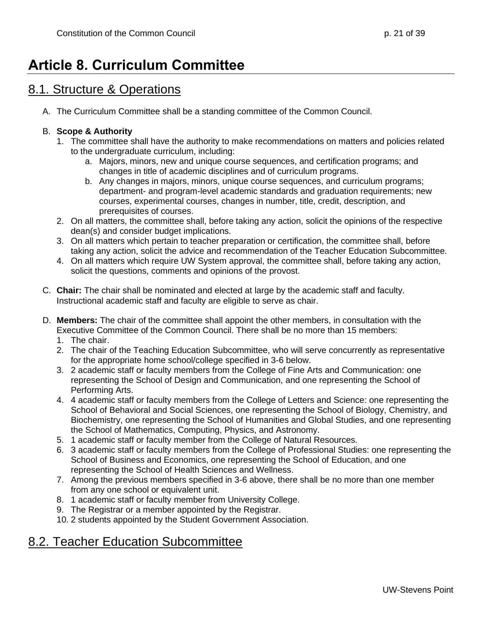# <span id="page-20-0"></span>**Article 8. Curriculum Committee**

#### <span id="page-20-1"></span>8.1. Structure & Operations

A. The Curriculum Committee shall be a standing committee of the Common Council.

#### B. **Scope & Authority**

- 1. The committee shall have the authority to make recommendations on matters and policies related to the undergraduate curriculum, including:
	- a. Majors, minors, new and unique course sequences, and certification programs; and changes in title of academic disciplines and of curriculum programs.
	- b. Any changes in majors, minors, unique course sequences, and curriculum programs; department- and program-level academic standards and graduation requirements; new courses, experimental courses, changes in number, title, credit, description, and prerequisites of courses.
- 2. On all matters, the committee shall, before taking any action, solicit the opinions of the respective dean(s) and consider budget implications.
- 3. On all matters which pertain to teacher preparation or certification, the committee shall, before taking any action, solicit the advice and recommendation of the Teacher Education Subcommittee.
- 4. On all matters which require UW System approval, the committee shall, before taking any action, solicit the questions, comments and opinions of the provost.
- C. **Chair:** The chair shall be nominated and elected at large by the academic staff and faculty. Instructional academic staff and faculty are eligible to serve as chair.
- D. **Members:** The chair of the committee shall appoint the other members, in consultation with the Executive Committee of the Common Council. There shall be no more than 15 members:
	- 1. The chair.
	- 2. The chair of the Teaching Education Subcommittee, who will serve concurrently as representative for the appropriate home school/college specified in 3-6 below.
	- 3. 2 academic staff or faculty members from the College of Fine Arts and Communication: one representing the School of Design and Communication, and one representing the School of Performing Arts.
	- 4. 4 academic staff or faculty members from the College of Letters and Science: one representing the School of Behavioral and Social Sciences, one representing the School of Biology, Chemistry, and Biochemistry, one representing the School of Humanities and Global Studies, and one representing the School of Mathematics, Computing, Physics, and Astronomy.
	- 5. 1 academic staff or faculty member from the College of Natural Resources.
	- 6. 3 academic staff or faculty members from the College of Professional Studies: one representing the School of Business and Economics, one representing the School of Education, and one representing the School of Health Sciences and Wellness.
	- 7. Among the previous members specified in 3-6 above, there shall be no more than one member from any one school or equivalent unit.
	- 8. 1 academic staff or faculty member from University College.
	- 9. The Registrar or a member appointed by the Registrar.
	- 10. 2 students appointed by the Student Government Association.

### <span id="page-20-2"></span>8.2. Teacher Education Subcommittee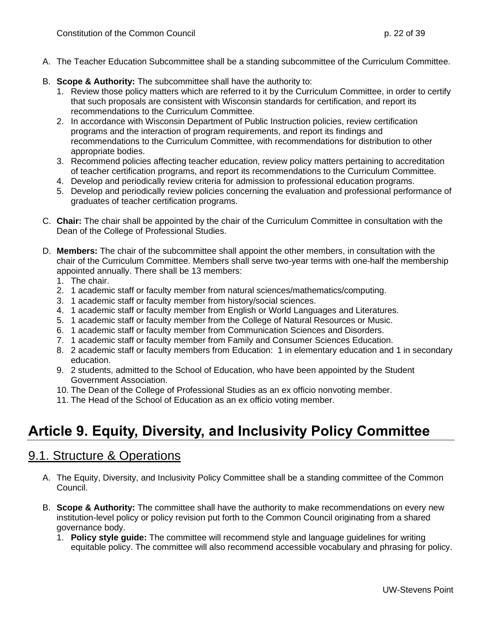- A. The Teacher Education Subcommittee shall be a standing subcommittee of the Curriculum Committee.
- B. **Scope & Authority:** The subcommittee shall have the authority to:
	- 1. Review those policy matters which are referred to it by the Curriculum Committee, in order to certify that such proposals are consistent with Wisconsin standards for certification, and report its recommendations to the Curriculum Committee.
	- 2. In accordance with Wisconsin Department of Public Instruction policies, review certification programs and the interaction of program requirements, and report its findings and recommendations to the Curriculum Committee, with recommendations for distribution to other appropriate bodies.
	- 3. Recommend policies affecting teacher education, review policy matters pertaining to accreditation of teacher certification programs, and report its recommendations to the Curriculum Committee.
	- 4. Develop and periodically review criteria for admission to professional education programs.
	- 5. Develop and periodically review policies concerning the evaluation and professional performance of graduates of teacher certification programs.
- C. **Chair:** The chair shall be appointed by the chair of the Curriculum Committee in consultation with the Dean of the College of Professional Studies.
- D. **Members:** The chair of the subcommittee shall appoint the other members, in consultation with the chair of the Curriculum Committee. Members shall serve two-year terms with one-half the membership appointed annually. There shall be 13 members:
	- 1. The chair.
	- 2. 1 academic staff or faculty member from natural sciences/mathematics/computing.
	- 3. 1 academic staff or faculty member from history/social sciences.
	- 4. 1 academic staff or faculty member from English or World Languages and Literatures.
	- 5. 1 academic staff or faculty member from the College of Natural Resources or Music.
	- 6. 1 academic staff or faculty member from Communication Sciences and Disorders.
	- 7. 1 academic staff or faculty member from Family and Consumer Sciences Education.
	- 8. 2 academic staff or faculty members from Education: 1 in elementary education and 1 in secondary education.
	- 9. 2 students, admitted to the School of Education, who have been appointed by the Student Government Association.
	- 10. The Dean of the College of Professional Studies as an ex officio nonvoting member.
	- 11. The Head of the School of Education as an ex officio voting member.

## <span id="page-21-1"></span><span id="page-21-0"></span>**Article 9. Equity, Diversity, and Inclusivity Policy Committee**

- A. The Equity, Diversity, and Inclusivity Policy Committee shall be a standing committee of the Common Council.
- B. **Scope & Authority:** The committee shall have the authority to make recommendations on every new institution-level policy or policy revision put forth to the Common Council originating from a shared governance body.
	- 1. **Policy style guide:** The committee will recommend style and language guidelines for writing equitable policy. The committee will also recommend accessible vocabulary and phrasing for policy.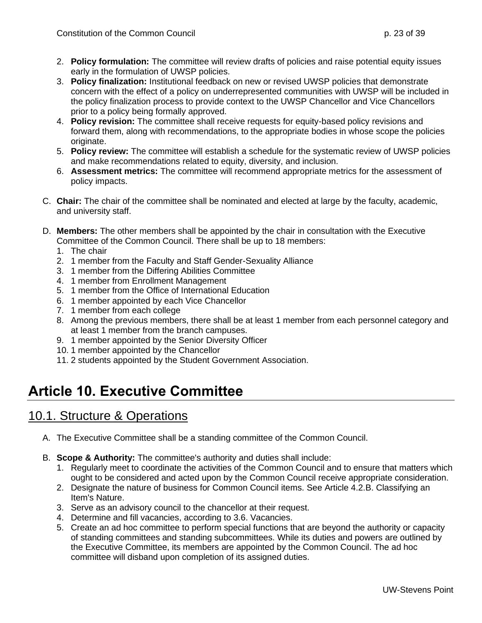- 2. **Policy formulation:** The committee will review drafts of policies and raise potential equity issues early in the formulation of UWSP policies.
- 3. **Policy finalization:** Institutional feedback on new or revised UWSP policies that demonstrate concern with the effect of a policy on underrepresented communities with UWSP will be included in the policy finalization process to provide context to the UWSP Chancellor and Vice Chancellors prior to a policy being formally approved.
- 4. **Policy revision:** The committee shall receive requests for equity-based policy revisions and forward them, along with recommendations, to the appropriate bodies in whose scope the policies originate.
- 5. **Policy review:** The committee will establish a schedule for the systematic review of UWSP policies and make recommendations related to equity, diversity, and inclusion.
- 6. **Assessment metrics:** The committee will recommend appropriate metrics for the assessment of policy impacts.
- C. **Chair:** The chair of the committee shall be nominated and elected at large by the faculty, academic, and university staff.
- D. **Members:** The other members shall be appointed by the chair in consultation with the Executive Committee of the Common Council. There shall be up to 18 members:
	- 1. The chair
	- 2. 1 member from the Faculty and Staff Gender-Sexuality Alliance
	- 3. 1 member from the Differing Abilities Committee
	- 4. 1 member from Enrollment Management
	- 5. 1 member from the Office of International Education
	- 6. 1 member appointed by each Vice Chancellor
	- 7. 1 member from each college
	- 8. Among the previous members, there shall be at least 1 member from each personnel category and at least 1 member from the branch campuses.
	- 9. 1 member appointed by the Senior Diversity Officer
	- 10. 1 member appointed by the Chancellor
	- 11. 2 students appointed by the Student Government Association.

# <span id="page-22-1"></span><span id="page-22-0"></span>**Article 10. Executive Committee**

- A. The Executive Committee shall be a standing committee of the Common Council.
- B. **Scope & Authority:** The committee's authority and duties shall include:
	- 1. Regularly meet to coordinate the activities of the Common Council and to ensure that matters which ought to be considered and acted upon by the Common Council receive appropriate consideration.
	- 2. Designate the nature of business for Common Council items. See Article 4.2.B. Classifying an Item's Nature.
	- 3. Serve as an advisory council to the chancellor at their request.
	- 4. Determine and fill vacancies, according to 3.6. Vacancies.
	- 5. Create an ad hoc committee to perform special functions that are beyond the authority or capacity of standing committees and standing subcommittees. While its duties and powers are outlined by the Executive Committee, its members are appointed by the Common Council. The ad hoc committee will disband upon completion of its assigned duties.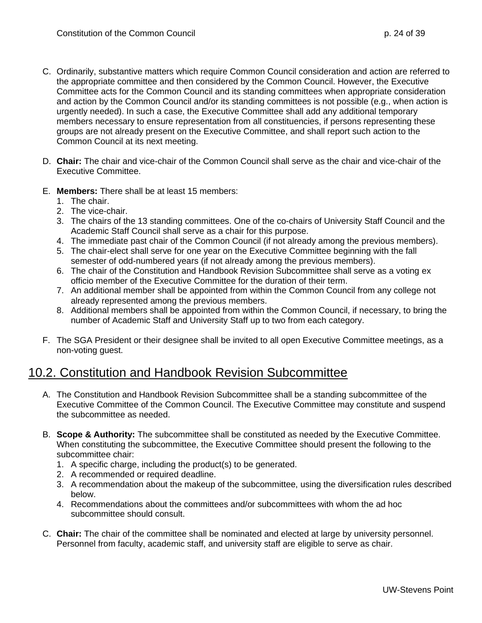- C. Ordinarily, substantive matters which require Common Council consideration and action are referred to the appropriate committee and then considered by the Common Council. However, the Executive Committee acts for the Common Council and its standing committees when appropriate consideration and action by the Common Council and/or its standing committees is not possible (e.g., when action is urgently needed). In such a case, the Executive Committee shall add any additional temporary members necessary to ensure representation from all constituencies, if persons representing these groups are not already present on the Executive Committee, and shall report such action to the Common Council at its next meeting.
- D. **Chair:** The chair and vice-chair of the Common Council shall serve as the chair and vice-chair of the Executive Committee.
- E. **Members:** There shall be at least 15 members:
	- 1. The chair.
	- 2. The vice-chair.
	- 3. The chairs of the 13 standing committees. One of the co-chairs of University Staff Council and the Academic Staff Council shall serve as a chair for this purpose.
	- 4. The immediate past chair of the Common Council (if not already among the previous members).
	- 5. The chair-elect shall serve for one year on the Executive Committee beginning with the fall semester of odd-numbered years (if not already among the previous members).
	- 6. The chair of the Constitution and Handbook Revision Subcommittee shall serve as a voting ex officio member of the Executive Committee for the duration of their term.
	- 7. An additional member shall be appointed from within the Common Council from any college not already represented among the previous members.
	- 8. Additional members shall be appointed from within the Common Council, if necessary, to bring the number of Academic Staff and University Staff up to two from each category.
- F. The SGA President or their designee shall be invited to all open Executive Committee meetings, as a non-voting guest.

#### <span id="page-23-0"></span>10.2. Constitution and Handbook Revision Subcommittee

- A. The Constitution and Handbook Revision Subcommittee shall be a standing subcommittee of the Executive Committee of the Common Council. The Executive Committee may constitute and suspend the subcommittee as needed.
- B. **Scope & Authority:** The subcommittee shall be constituted as needed by the Executive Committee. When constituting the subcommittee, the Executive Committee should present the following to the subcommittee chair:
	- 1. A specific charge, including the product(s) to be generated.
	- 2. A recommended or required deadline.
	- 3. A recommendation about the makeup of the subcommittee, using the diversification rules described below.
	- 4. Recommendations about the committees and/or subcommittees with whom the ad hoc subcommittee should consult.
- C. **Chair:** The chair of the committee shall be nominated and elected at large by university personnel. Personnel from faculty, academic staff, and university staff are eligible to serve as chair.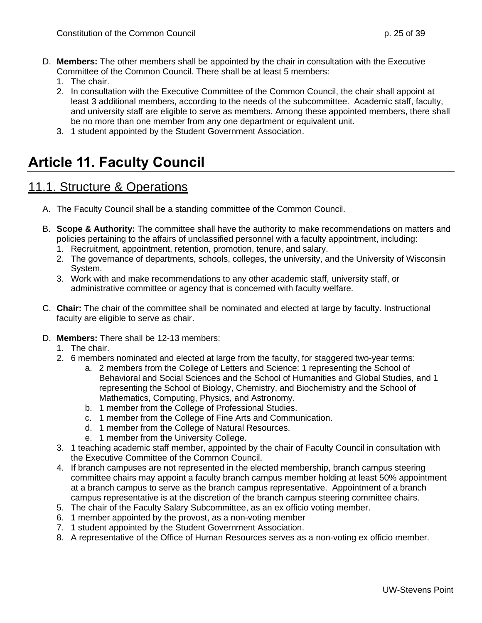- D. **Members:** The other members shall be appointed by the chair in consultation with the Executive Committee of the Common Council. There shall be at least 5 members:
	- 1. The chair.
	- 2. In consultation with the Executive Committee of the Common Council, the chair shall appoint at least 3 additional members, according to the needs of the subcommittee. Academic staff, faculty, and university staff are eligible to serve as members. Among these appointed members, there shall be no more than one member from any one department or equivalent unit.
	- 3. 1 student appointed by the Student Government Association.

## <span id="page-24-1"></span><span id="page-24-0"></span>**Article 11. Faculty Council**

- A. The Faculty Council shall be a standing committee of the Common Council.
- B. **Scope & Authority:** The committee shall have the authority to make recommendations on matters and policies pertaining to the affairs of unclassified personnel with a faculty appointment, including:
	- 1. Recruitment, appointment, retention, promotion, tenure, and salary.
	- 2. The governance of departments, schools, colleges, the university, and the University of Wisconsin System.
	- 3. Work with and make recommendations to any other academic staff, university staff, or administrative committee or agency that is concerned with faculty welfare.
- C. **Chair:** The chair of the committee shall be nominated and elected at large by faculty. Instructional faculty are eligible to serve as chair.
- D. **Members:** There shall be 12-13 members:
	- 1. The chair.
	- 2. 6 members nominated and elected at large from the faculty, for staggered two-year terms:
		- a. 2 members from the College of Letters and Science: 1 representing the School of Behavioral and Social Sciences and the School of Humanities and Global Studies, and 1 representing the School of Biology, Chemistry, and Biochemistry and the School of Mathematics, Computing, Physics, and Astronomy.
		- b. 1 member from the College of Professional Studies.
		- c. 1 member from the College of Fine Arts and Communication.
		- d. 1 member from the College of Natural Resources.
		- e. 1 member from the University College.
	- 3. 1 teaching academic staff member, appointed by the chair of Faculty Council in consultation with the Executive Committee of the Common Council.
	- 4. If branch campuses are not represented in the elected membership, branch campus steering committee chairs may appoint a faculty branch campus member holding at least 50% appointment at a branch campus to serve as the branch campus representative. Appointment of a branch campus representative is at the discretion of the branch campus steering committee chairs.
	- 5. The chair of the Faculty Salary Subcommittee, as an ex officio voting member.
	- 6. 1 member appointed by the provost, as a non-voting member
	- 7. 1 student appointed by the Student Government Association.
	- 8. A representative of the Office of Human Resources serves as a non-voting ex officio member.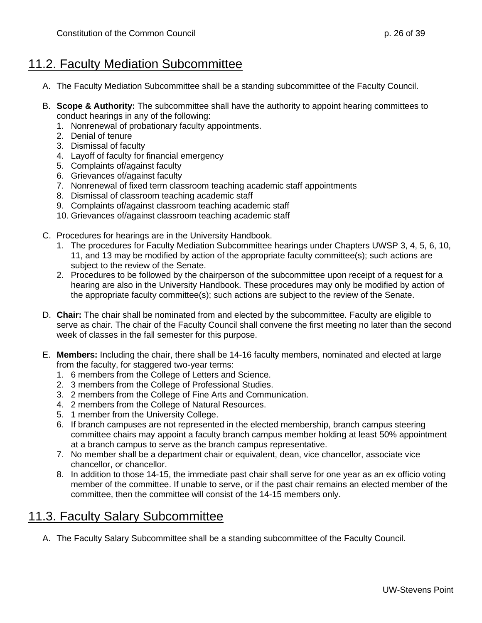### <span id="page-25-0"></span>11.2. Faculty Mediation Subcommittee

- A. The Faculty Mediation Subcommittee shall be a standing subcommittee of the Faculty Council.
- B. **Scope & Authority:** The subcommittee shall have the authority to appoint hearing committees to conduct hearings in any of the following:
	- 1. Nonrenewal of probationary faculty appointments.
	- 2. Denial of tenure
	- 3. Dismissal of faculty
	- 4. Layoff of faculty for financial emergency
	- 5. Complaints of/against faculty
	- 6. Grievances of/against faculty
	- 7. Nonrenewal of fixed term classroom teaching academic staff appointments
	- 8. Dismissal of classroom teaching academic staff
	- 9. Complaints of/against classroom teaching academic staff
	- 10. Grievances of/against classroom teaching academic staff
- C. Procedures for hearings are in the University Handbook.
	- 1. The procedures for Faculty Mediation Subcommittee hearings under Chapters UWSP 3, 4, 5, 6, 10, 11, and 13 may be modified by action of the appropriate faculty committee(s); such actions are subject to the review of the Senate.
	- 2. Procedures to be followed by the chairperson of the subcommittee upon receipt of a request for a hearing are also in the University Handbook. These procedures may only be modified by action of the appropriate faculty committee(s); such actions are subject to the review of the Senate.
- D. **Chair:** The chair shall be nominated from and elected by the subcommittee. Faculty are eligible to serve as chair. The chair of the Faculty Council shall convene the first meeting no later than the second week of classes in the fall semester for this purpose.
- E. **Members:** Including the chair, there shall be 14-16 faculty members, nominated and elected at large from the faculty, for staggered two-year terms:
	- 1. 6 members from the College of Letters and Science.
	- 2. 3 members from the College of Professional Studies.
	- 3. 2 members from the College of Fine Arts and Communication.
	- 4. 2 members from the College of Natural Resources.
	- 5. 1 member from the University College.
	- 6. If branch campuses are not represented in the elected membership, branch campus steering committee chairs may appoint a faculty branch campus member holding at least 50% appointment at a branch campus to serve as the branch campus representative.
	- 7. No member shall be a department chair or equivalent, dean, vice chancellor, associate vice chancellor, or chancellor.
	- 8. In addition to those 14-15, the immediate past chair shall serve for one year as an ex officio voting member of the committee. If unable to serve, or if the past chair remains an elected member of the committee, then the committee will consist of the 14-15 members only.

### <span id="page-25-1"></span>11.3. Faculty Salary Subcommittee

A. The Faculty Salary Subcommittee shall be a standing subcommittee of the Faculty Council.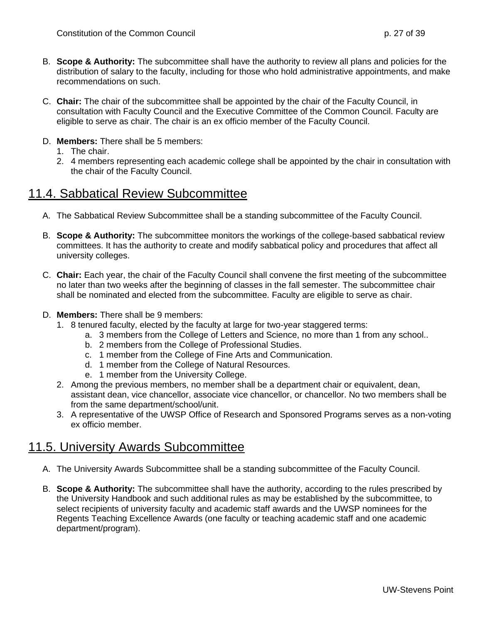- B. **Scope & Authority:** The subcommittee shall have the authority to review all plans and policies for the distribution of salary to the faculty, including for those who hold administrative appointments, and make recommendations on such.
- C. **Chair:** The chair of the subcommittee shall be appointed by the chair of the Faculty Council, in consultation with Faculty Council and the Executive Committee of the Common Council. Faculty are eligible to serve as chair. The chair is an ex officio member of the Faculty Council.
- D. **Members:** There shall be 5 members:
	- 1. The chair.
	- 2. 4 members representing each academic college shall be appointed by the chair in consultation with the chair of the Faculty Council.

### <span id="page-26-0"></span>11.4. Sabbatical Review Subcommittee

- A. The Sabbatical Review Subcommittee shall be a standing subcommittee of the Faculty Council.
- B. **Scope & Authority:** The subcommittee monitors the workings of the college-based sabbatical review committees. It has the authority to create and modify sabbatical policy and procedures that affect all university colleges.
- C. **Chair:** Each year, the chair of the Faculty Council shall convene the first meeting of the subcommittee no later than two weeks after the beginning of classes in the fall semester. The subcommittee chair shall be nominated and elected from the subcommittee. Faculty are eligible to serve as chair.
- D. **Members:** There shall be 9 members:
	- 1. 8 tenured faculty, elected by the faculty at large for two-year staggered terms:
		- a. 3 members from the College of Letters and Science, no more than 1 from any school..
			- b. 2 members from the College of Professional Studies.
			- c. 1 member from the College of Fine Arts and Communication.
			- d. 1 member from the College of Natural Resources.
			- e. 1 member from the University College.
	- 2. Among the previous members, no member shall be a department chair or equivalent, dean, assistant dean, vice chancellor, associate vice chancellor, or chancellor. No two members shall be from the same department/school/unit.
	- 3. A representative of the UWSP Office of Research and Sponsored Programs serves as a non-voting ex officio member.

### <span id="page-26-1"></span>11.5. University Awards Subcommittee

- A. The University Awards Subcommittee shall be a standing subcommittee of the Faculty Council.
- B. **Scope & Authority:** The subcommittee shall have the authority, according to the rules prescribed by the University Handbook and such additional rules as may be established by the subcommittee, to select recipients of university faculty and academic staff awards and the UWSP nominees for the Regents Teaching Excellence Awards (one faculty or teaching academic staff and one academic department/program).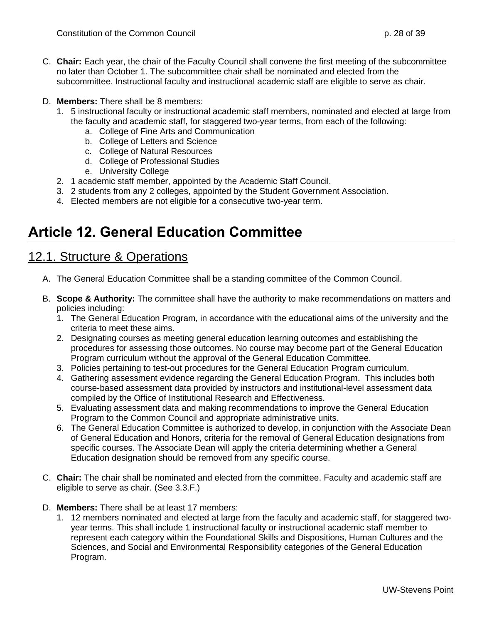- C. **Chair:** Each year, the chair of the Faculty Council shall convene the first meeting of the subcommittee no later than October 1. The subcommittee chair shall be nominated and elected from the subcommittee. Instructional faculty and instructional academic staff are eligible to serve as chair.
- D. **Members:** There shall be 8 members:
	- 1. 5 instructional faculty or instructional academic staff members, nominated and elected at large from the faculty and academic staff, for staggered two-year terms, from each of the following:
		- a. College of Fine Arts and Communication
		- b. College of Letters and Science
		- c. College of Natural Resources
		- d. College of Professional Studies
		- e. University College
	- 2. 1 academic staff member, appointed by the Academic Staff Council.
	- 3. 2 students from any 2 colleges, appointed by the Student Government Association.
	- 4. Elected members are not eligible for a consecutive two-year term.

# <span id="page-27-1"></span><span id="page-27-0"></span>**Article 12. General Education Committee**

- A. The General Education Committee shall be a standing committee of the Common Council.
- B. **Scope & Authority:** The committee shall have the authority to make recommendations on matters and policies including:
	- 1. The General Education Program, in accordance with the educational aims of the university and the criteria to meet these aims.
	- 2. Designating courses as meeting general education learning outcomes and establishing the procedures for assessing those outcomes. No course may become part of the General Education Program curriculum without the approval of the General Education Committee.
	- 3. Policies pertaining to test-out procedures for the General Education Program curriculum.
	- 4. Gathering assessment evidence regarding the General Education Program. This includes both course-based assessment data provided by instructors and institutional-level assessment data compiled by the Office of Institutional Research and Effectiveness.
	- 5. Evaluating assessment data and making recommendations to improve the General Education Program to the Common Council and appropriate administrative units.
	- 6. The General Education Committee is authorized to develop, in conjunction with the Associate Dean of General Education and Honors, criteria for the removal of General Education designations from specific courses. The Associate Dean will apply the criteria determining whether a General Education designation should be removed from any specific course.
- C. **Chair:** The chair shall be nominated and elected from the committee. Faculty and academic staff are eligible to serve as chair. (See 3.3.F.)
- D. **Members:** There shall be at least 17 members:
	- 1. 12 members nominated and elected at large from the faculty and academic staff, for staggered twoyear terms. This shall include 1 instructional faculty or instructional academic staff member to represent each category within the Foundational Skills and Dispositions, Human Cultures and the Sciences, and Social and Environmental Responsibility categories of the General Education Program.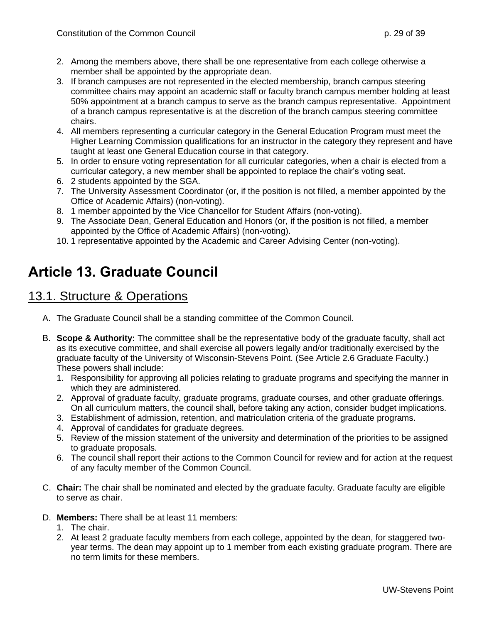- 2. Among the members above, there shall be one representative from each college otherwise a member shall be appointed by the appropriate dean.
- 3. If branch campuses are not represented in the elected membership, branch campus steering committee chairs may appoint an academic staff or faculty branch campus member holding at least 50% appointment at a branch campus to serve as the branch campus representative. Appointment of a branch campus representative is at the discretion of the branch campus steering committee chairs.
- 4. All members representing a curricular category in the General Education Program must meet the Higher Learning Commission qualifications for an instructor in the category they represent and have taught at least one General Education course in that category.
- 5. In order to ensure voting representation for all curricular categories, when a chair is elected from a curricular category, a new member shall be appointed to replace the chair's voting seat.
- 6. 2 students appointed by the SGA.
- 7. The University Assessment Coordinator (or, if the position is not filled, a member appointed by the Office of Academic Affairs) (non-voting).
- 8. 1 member appointed by the Vice Chancellor for Student Affairs (non-voting).
- 9. The Associate Dean, General Education and Honors (or, if the position is not filled, a member appointed by the Office of Academic Affairs) (non-voting).
- 10. 1 representative appointed by the Academic and Career Advising Center (non-voting).

## <span id="page-28-1"></span><span id="page-28-0"></span>**Article 13. Graduate Council**

- A. The Graduate Council shall be a standing committee of the Common Council.
- B. **Scope & Authority:** The committee shall be the representative body of the graduate faculty, shall act as its executive committee, and shall exercise all powers legally and/or traditionally exercised by the graduate faculty of the University of Wisconsin-Stevens Point. (See Article 2.6 Graduate Faculty.) These powers shall include:
	- 1. Responsibility for approving all policies relating to graduate programs and specifying the manner in which they are administered.
	- 2. Approval of graduate faculty, graduate programs, graduate courses, and other graduate offerings. On all curriculum matters, the council shall, before taking any action, consider budget implications.
	- 3. Establishment of admission, retention, and matriculation criteria of the graduate programs.
	- 4. Approval of candidates for graduate degrees.
	- 5. Review of the mission statement of the university and determination of the priorities to be assigned to graduate proposals.
	- 6. The council shall report their actions to the Common Council for review and for action at the request of any faculty member of the Common Council.
- C. **Chair:** The chair shall be nominated and elected by the graduate faculty. Graduate faculty are eligible to serve as chair.
- D. **Members:** There shall be at least 11 members:
	- 1. The chair.
	- 2. At least 2 graduate faculty members from each college, appointed by the dean, for staggered twoyear terms. The dean may appoint up to 1 member from each existing graduate program. There are no term limits for these members.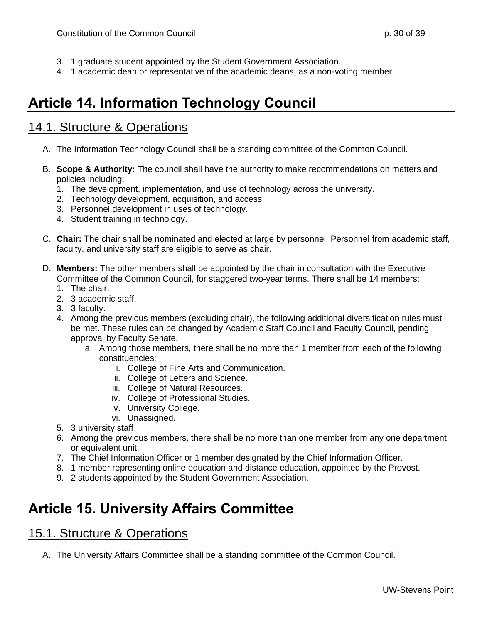- 3. 1 graduate student appointed by the Student Government Association.
- 4. 1 academic dean or representative of the academic deans, as a non-voting member.

## <span id="page-29-0"></span>**Article 14. Information Technology Council**

#### <span id="page-29-1"></span>14.1. Structure & Operations

- A. The Information Technology Council shall be a standing committee of the Common Council.
- B. **Scope & Authority:** The council shall have the authority to make recommendations on matters and policies including:
	- 1. The development, implementation, and use of technology across the university.
	- 2. Technology development, acquisition, and access.
	- 3. Personnel development in uses of technology.
	- 4. Student training in technology.
- C. **Chair:** The chair shall be nominated and elected at large by personnel. Personnel from academic staff, faculty, and university staff are eligible to serve as chair.
- D. **Members:** The other members shall be appointed by the chair in consultation with the Executive Committee of the Common Council, for staggered two-year terms. There shall be 14 members:
	- 1. The chair.
	- 2. 3 academic staff.
	- 3. 3 faculty.
	- 4. Among the previous members (excluding chair), the following additional diversification rules must be met. These rules can be changed by Academic Staff Council and Faculty Council, pending approval by Faculty Senate.
		- a. Among those members, there shall be no more than 1 member from each of the following constituencies:
			- i. College of Fine Arts and Communication.
			- ii. College of Letters and Science.
			- iii. College of Natural Resources.
			- iv. College of Professional Studies.
			- v. University College.
			- vi. Unassigned.
	- 5. 3 university staff
	- 6. Among the previous members, there shall be no more than one member from any one department or equivalent unit.
	- 7. The Chief Information Officer or 1 member designated by the Chief Information Officer.
	- 8. 1 member representing online education and distance education, appointed by the Provost.
	- 9. 2 students appointed by the Student Government Association.

## <span id="page-29-2"></span>**Article 15. University Affairs Committee**

#### <span id="page-29-3"></span>15.1. Structure & Operations

A. The University Affairs Committee shall be a standing committee of the Common Council.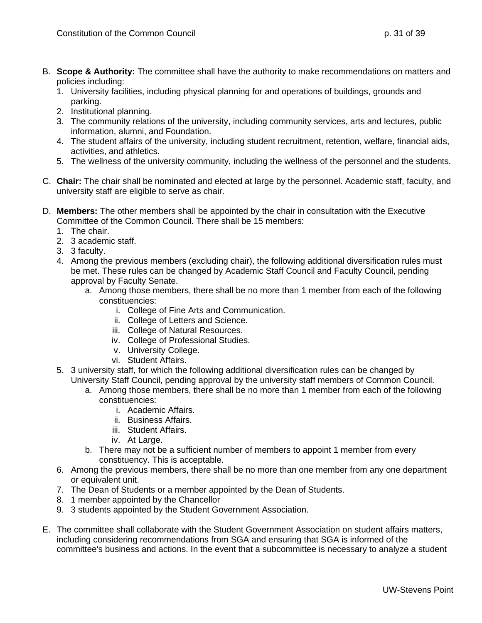- B. **Scope & Authority:** The committee shall have the authority to make recommendations on matters and policies including:
	- 1. University facilities, including physical planning for and operations of buildings, grounds and parking.
	- 2. Institutional planning.
	- 3. The community relations of the university, including community services, arts and lectures, public information, alumni, and Foundation.
	- 4. The student affairs of the university, including student recruitment, retention, welfare, financial aids, activities, and athletics.
	- 5. The wellness of the university community, including the wellness of the personnel and the students.
- C. **Chair:** The chair shall be nominated and elected at large by the personnel. Academic staff, faculty, and university staff are eligible to serve as chair.
- D. **Members:** The other members shall be appointed by the chair in consultation with the Executive Committee of the Common Council. There shall be 15 members:
	- 1. The chair.
	- 2. 3 academic staff.
	- 3. 3 faculty.
	- 4. Among the previous members (excluding chair), the following additional diversification rules must be met. These rules can be changed by Academic Staff Council and Faculty Council, pending approval by Faculty Senate.
		- a. Among those members, there shall be no more than 1 member from each of the following constituencies:
			- i. College of Fine Arts and Communication.
			- ii. College of Letters and Science.
			- iii. College of Natural Resources.
			- iv. College of Professional Studies.
			- v. University College.
			- vi. Student Affairs.
	- 5. 3 university staff, for which the following additional diversification rules can be changed by University Staff Council, pending approval by the university staff members of Common Council.
		- a. Among those members, there shall be no more than 1 member from each of the following constituencies:
			- i. Academic Affairs.
			- ii. Business Affairs.
			- iii. Student Affairs.
			- iv. At Large.
		- b. There may not be a sufficient number of members to appoint 1 member from every constituency. This is acceptable.
	- 6. Among the previous members, there shall be no more than one member from any one department or equivalent unit.
	- 7. The Dean of Students or a member appointed by the Dean of Students.
	- 8. 1 member appointed by the Chancellor
	- 9. 3 students appointed by the Student Government Association.
- E. The committee shall collaborate with the Student Government Association on student affairs matters, including considering recommendations from SGA and ensuring that SGA is informed of the committee's business and actions. In the event that a subcommittee is necessary to analyze a student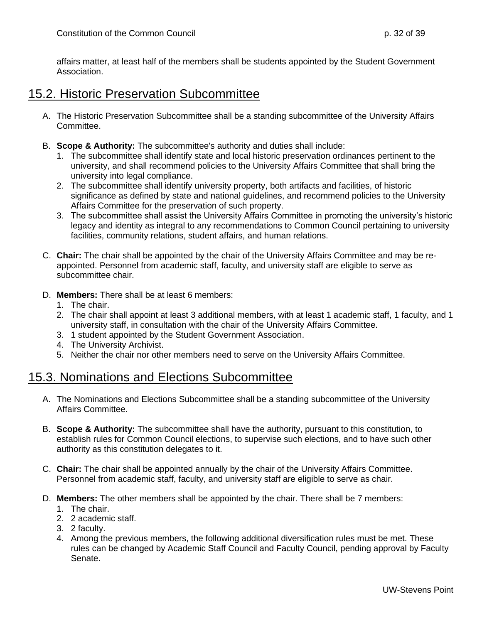affairs matter, at least half of the members shall be students appointed by the Student Government Association.

#### <span id="page-31-0"></span>15.2. Historic Preservation Subcommittee

- A. The Historic Preservation Subcommittee shall be a standing subcommittee of the University Affairs Committee.
- B. **Scope & Authority:** The subcommittee's authority and duties shall include:
	- 1. The subcommittee shall identify state and local historic preservation ordinances pertinent to the university, and shall recommend policies to the University Affairs Committee that shall bring the university into legal compliance.
	- 2. The subcommittee shall identify university property, both artifacts and facilities, of historic significance as defined by state and national guidelines, and recommend policies to the University Affairs Committee for the preservation of such property.
	- 3. The subcommittee shall assist the University Affairs Committee in promoting the university's historic legacy and identity as integral to any recommendations to Common Council pertaining to university facilities, community relations, student affairs, and human relations.
- C. **Chair:** The chair shall be appointed by the chair of the University Affairs Committee and may be reappointed. Personnel from academic staff, faculty, and university staff are eligible to serve as subcommittee chair.
- D. **Members:** There shall be at least 6 members:
	- 1. The chair.
	- 2. The chair shall appoint at least 3 additional members, with at least 1 academic staff, 1 faculty, and 1 university staff, in consultation with the chair of the University Affairs Committee.
	- 3. 1 student appointed by the Student Government Association.
	- 4. The University Archivist.
	- 5. Neither the chair nor other members need to serve on the University Affairs Committee.

#### <span id="page-31-1"></span>15.3. Nominations and Elections Subcommittee

- A. The Nominations and Elections Subcommittee shall be a standing subcommittee of the University Affairs Committee.
- B. **Scope & Authority:** The subcommittee shall have the authority, pursuant to this constitution, to establish rules for Common Council elections, to supervise such elections, and to have such other authority as this constitution delegates to it.
- C. **Chair:** The chair shall be appointed annually by the chair of the University Affairs Committee. Personnel from academic staff, faculty, and university staff are eligible to serve as chair.
- D. **Members:** The other members shall be appointed by the chair. There shall be 7 members:
	- 1. The chair.
	- 2. 2 academic staff.
	- 3. 2 faculty.
	- 4. Among the previous members, the following additional diversification rules must be met. These rules can be changed by Academic Staff Council and Faculty Council, pending approval by Faculty Senate.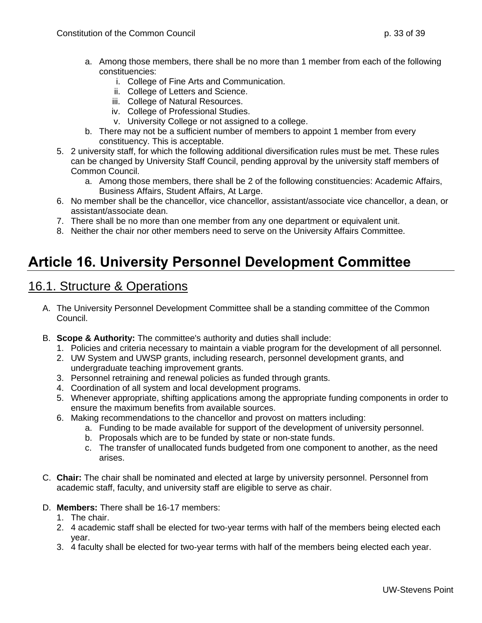- a. Among those members, there shall be no more than 1 member from each of the following constituencies:
	- i. College of Fine Arts and Communication.
	- ii. College of Letters and Science.
	- iii. College of Natural Resources.
	- iv. College of Professional Studies.
	- v. University College or not assigned to a college.
- b. There may not be a sufficient number of members to appoint 1 member from every constituency. This is acceptable.
- 5. 2 university staff, for which the following additional diversification rules must be met. These rules can be changed by University Staff Council, pending approval by the university staff members of Common Council.
	- a. Among those members, there shall be 2 of the following constituencies: Academic Affairs, Business Affairs, Student Affairs, At Large.
- 6. No member shall be the chancellor, vice chancellor, assistant/associate vice chancellor, a dean, or assistant/associate dean.
- 7. There shall be no more than one member from any one department or equivalent unit.
- 8. Neither the chair nor other members need to serve on the University Affairs Committee.

# <span id="page-32-1"></span><span id="page-32-0"></span>**Article 16. University Personnel Development Committee**

- A. The University Personnel Development Committee shall be a standing committee of the Common Council.
- B. **Scope & Authority:** The committee's authority and duties shall include:
	- 1. Policies and criteria necessary to maintain a viable program for the development of all personnel.
	- 2. UW System and UWSP grants, including research, personnel development grants, and undergraduate teaching improvement grants.
	- 3. Personnel retraining and renewal policies as funded through grants.
	- 4. Coordination of all system and local development programs.
	- 5. Whenever appropriate, shifting applications among the appropriate funding components in order to ensure the maximum benefits from available sources.
	- 6. Making recommendations to the chancellor and provost on matters including:
		- a. Funding to be made available for support of the development of university personnel.
		- b. Proposals which are to be funded by state or non-state funds.
		- c. The transfer of unallocated funds budgeted from one component to another, as the need arises.
- C. **Chair:** The chair shall be nominated and elected at large by university personnel. Personnel from academic staff, faculty, and university staff are eligible to serve as chair.
- D. **Members:** There shall be 16-17 members:
	- 1. The chair.
	- 2. 4 academic staff shall be elected for two-year terms with half of the members being elected each year.
	- 3. 4 faculty shall be elected for two-year terms with half of the members being elected each year.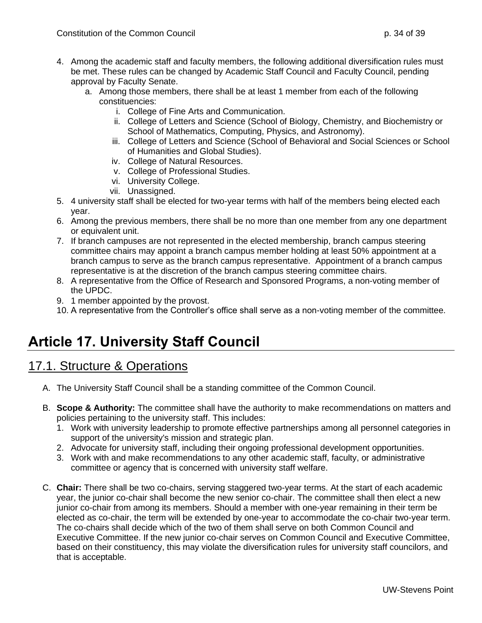- 4. Among the academic staff and faculty members, the following additional diversification rules must be met. These rules can be changed by Academic Staff Council and Faculty Council, pending approval by Faculty Senate.
	- a. Among those members, there shall be at least 1 member from each of the following constituencies:
		- i. College of Fine Arts and Communication.
		- ii. College of Letters and Science (School of Biology, Chemistry, and Biochemistry or School of Mathematics, Computing, Physics, and Astronomy).
		- iii. College of Letters and Science (School of Behavioral and Social Sciences or School of Humanities and Global Studies).
		- iv. College of Natural Resources.
		- v. College of Professional Studies.
		- vi. University College.
		- vii. Unassigned.
- 5. 4 university staff shall be elected for two-year terms with half of the members being elected each year.
- 6. Among the previous members, there shall be no more than one member from any one department or equivalent unit.
- 7. If branch campuses are not represented in the elected membership, branch campus steering committee chairs may appoint a branch campus member holding at least 50% appointment at a branch campus to serve as the branch campus representative. Appointment of a branch campus representative is at the discretion of the branch campus steering committee chairs.
- 8. A representative from the Office of Research and Sponsored Programs, a non-voting member of the UPDC.
- 9. 1 member appointed by the provost.
- 10. A representative from the Controller's office shall serve as a non-voting member of the committee.

# <span id="page-33-1"></span><span id="page-33-0"></span>**Article 17. University Staff Council**

- A. The University Staff Council shall be a standing committee of the Common Council.
- B. **Scope & Authority:** The committee shall have the authority to make recommendations on matters and policies pertaining to the university staff. This includes:
	- 1. Work with university leadership to promote effective partnerships among all personnel categories in support of the university's mission and strategic plan.
	- 2. Advocate for university staff, including their ongoing professional development opportunities.
	- 3. Work with and make recommendations to any other academic staff, faculty, or administrative committee or agency that is concerned with university staff welfare.
- C. **Chair:** There shall be two co-chairs, serving staggered two-year terms. At the start of each academic year, the junior co-chair shall become the new senior co-chair. The committee shall then elect a new junior co-chair from among its members. Should a member with one-year remaining in their term be elected as co-chair, the term will be extended by one-year to accommodate the co-chair two-year term. The co-chairs shall decide which of the two of them shall serve on both Common Council and Executive Committee. If the new junior co-chair serves on Common Council and Executive Committee, based on their constituency, this may violate the diversification rules for university staff councilors, and that is acceptable.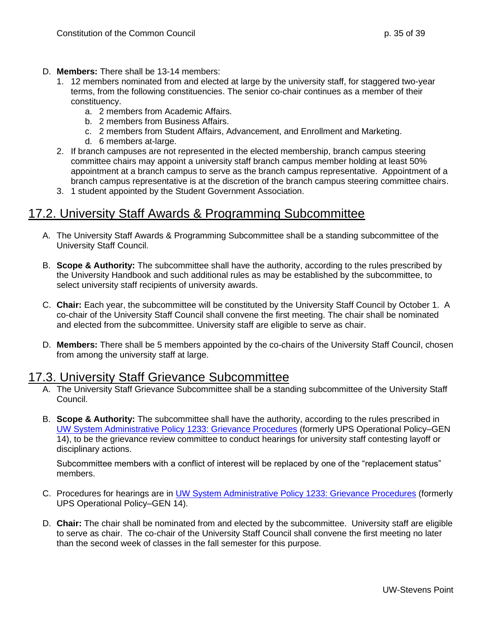- D. **Members:** There shall be 13-14 members:
	- 1. 12 members nominated from and elected at large by the university staff, for staggered two-year terms, from the following constituencies. The senior co-chair continues as a member of their constituency.
		- a. 2 members from Academic Affairs.
		- b. 2 members from Business Affairs.
		- c. 2 members from Student Affairs, Advancement, and Enrollment and Marketing.
		- d. 6 members at-large.
	- 2. If branch campuses are not represented in the elected membership, branch campus steering committee chairs may appoint a university staff branch campus member holding at least 50% appointment at a branch campus to serve as the branch campus representative. Appointment of a branch campus representative is at the discretion of the branch campus steering committee chairs.
	- 3. 1 student appointed by the Student Government Association.

### <span id="page-34-0"></span>17.2. University Staff Awards & Programming Subcommittee

- A. The University Staff Awards & Programming Subcommittee shall be a standing subcommittee of the University Staff Council.
- B. **Scope & Authority:** The subcommittee shall have the authority, according to the rules prescribed by the University Handbook and such additional rules as may be established by the subcommittee, to select university staff recipients of university awards.
- C. **Chair:** Each year, the subcommittee will be constituted by the University Staff Council by October 1. A co-chair of the University Staff Council shall convene the first meeting. The chair shall be nominated and elected from the subcommittee. University staff are eligible to serve as chair.
- D. **Members:** There shall be 5 members appointed by the co-chairs of the University Staff Council, chosen from among the university staff at large.

#### <span id="page-34-1"></span>17.3. University Staff Grievance Subcommittee

- A. The University Staff Grievance Subcommittee shall be a standing subcommittee of the University Staff Council.
- B. **Scope & Authority:** The subcommittee shall have the authority, according to the rules prescribed in [UW System Administrative Policy 1233: Grievance Procedures](https://www.wisconsin.edu/uw-policies/uw-system-administrative-policies/grievance-procedures/) (formerly UPS Operational Policy–GEN 14), to be the grievance review committee to conduct hearings for university staff contesting layoff or disciplinary actions.

Subcommittee members with a conflict of interest will be replaced by one of the "replacement status" members.

- C. Procedures for hearings are in [UW System Administrative Policy 1233: Grievance Procedures](https://www.wisconsin.edu/uw-policies/uw-system-administrative-policies/grievance-procedures/) (formerly UPS Operational Policy–GEN 14).
- D. **Chair:** The chair shall be nominated from and elected by the subcommittee. University staff are eligible to serve as chair. The co-chair of the University Staff Council shall convene the first meeting no later than the second week of classes in the fall semester for this purpose.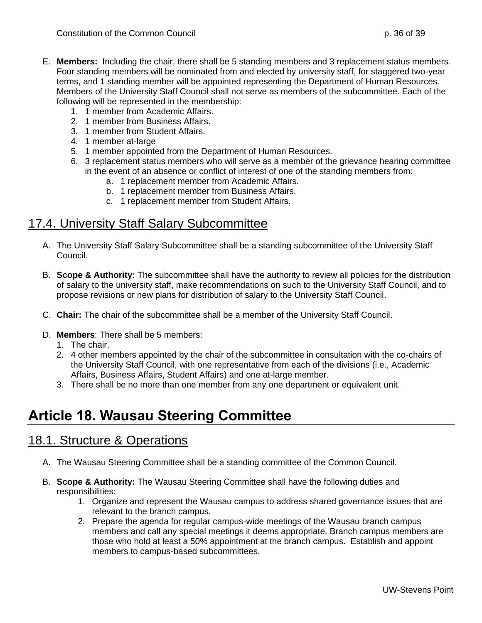- E. **Members:** Including the chair, there shall be 5 standing members and 3 replacement status members. Four standing members will be nominated from and elected by university staff, for staggered two-year terms, and 1 standing member will be appointed representing the Department of Human Resources. Members of the University Staff Council shall not serve as members of the subcommittee. Each of the following will be represented in the membership:
	- 1. 1 member from Academic Affairs.
	- 2. 1 member from Business Affairs.
	- 3. 1 member from Student Affairs.
	- 4. 1 member at-large
	- 5. 1 member appointed from the Department of Human Resources.
	- 6. 3 replacement status members who will serve as a member of the grievance hearing committee in the event of an absence or conflict of interest of one of the standing members from:
		- a. 1 replacement member from Academic Affairs.
		- b. 1 replacement member from Business Affairs.
		- c. 1 replacement member from Student Affairs.

#### <span id="page-35-0"></span>17.4. University Staff Salary Subcommittee

- A. The University Staff Salary Subcommittee shall be a standing subcommittee of the University Staff Council.
- B. **Scope & Authority:** The subcommittee shall have the authority to review all policies for the distribution of salary to the university staff, make recommendations on such to the University Staff Council, and to propose revisions or new plans for distribution of salary to the University Staff Council.
- C. **Chair:** The chair of the subcommittee shall be a member of the University Staff Council.
- D. **Members**: There shall be 5 members:
	- 1. The chair.
	- 2. 4 other members appointed by the chair of the subcommittee in consultation with the co-chairs of the University Staff Council, with one representative from each of the divisions (i.e., Academic Affairs, Business Affairs, Student Affairs) and one at-large member.
	- 3. There shall be no more than one member from any one department or equivalent unit.

## <span id="page-35-2"></span><span id="page-35-1"></span>**Article 18. Wausau Steering Committee**

- A. The Wausau Steering Committee shall be a standing committee of the Common Council.
- B. **Scope & Authority:** The Wausau Steering Committee shall have the following duties and responsibilities:
	- 1. Organize and represent the Wausau campus to address shared governance issues that are relevant to the branch campus.
	- 2. Prepare the agenda for regular campus-wide meetings of the Wausau branch campus members and call any special meetings it deems appropriate. Branch campus members are those who hold at least a 50% appointment at the branch campus. Establish and appoint members to campus-based subcommittees.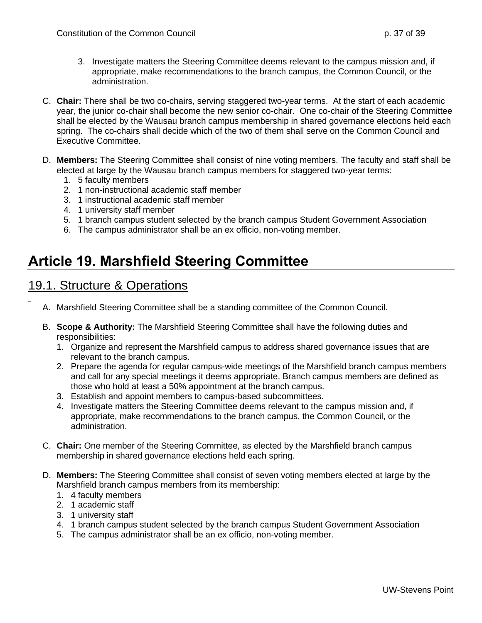- 3. Investigate matters the Steering Committee deems relevant to the campus mission and, if appropriate, make recommendations to the branch campus, the Common Council, or the administration.
- C. **Chair:** There shall be two co-chairs, serving staggered two-year terms. At the start of each academic year, the junior co-chair shall become the new senior co-chair. One co-chair of the Steering Committee shall be elected by the Wausau branch campus membership in shared governance elections held each spring. The co-chairs shall decide which of the two of them shall serve on the Common Council and Executive Committee.
- D. **Members:** The Steering Committee shall consist of nine voting members. The faculty and staff shall be elected at large by the Wausau branch campus members for staggered two-year terms:
	- 1. 5 faculty members
	- 2. 1 non-instructional academic staff member
	- 3. 1 instructional academic staff member
	- 4. 1 university staff member
	- 5. 1 branch campus student selected by the branch campus Student Government Association
	- 6. The campus administrator shall be an ex officio, non-voting member.

# <span id="page-36-1"></span><span id="page-36-0"></span>**Article 19. Marshfield Steering Committee**

- A. Marshfield Steering Committee shall be a standing committee of the Common Council.
- B. **Scope & Authority:** The Marshfield Steering Committee shall have the following duties and responsibilities:
	- 1. Organize and represent the Marshfield campus to address shared governance issues that are relevant to the branch campus.
	- 2. Prepare the agenda for regular campus-wide meetings of the Marshfield branch campus members and call for any special meetings it deems appropriate. Branch campus members are defined as those who hold at least a 50% appointment at the branch campus.
	- 3. Establish and appoint members to campus-based subcommittees.
	- 4. Investigate matters the Steering Committee deems relevant to the campus mission and, if appropriate, make recommendations to the branch campus, the Common Council, or the administration.
- C. **Chair:** One member of the Steering Committee, as elected by the Marshfield branch campus membership in shared governance elections held each spring.
- D. **Members:** The Steering Committee shall consist of seven voting members elected at large by the Marshfield branch campus members from its membership:
	- 1. 4 faculty members
	- 2. 1 academic staff
	- 3. 1 university staff
	- 4. 1 branch campus student selected by the branch campus Student Government Association
	- 5. The campus administrator shall be an ex officio, non-voting member.